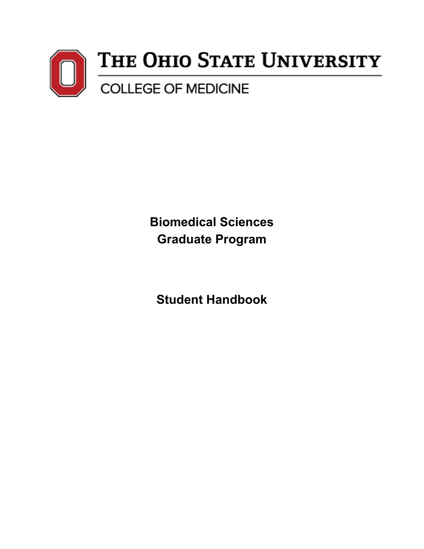

 **Biomedical Sciences Graduate Program** 

**Student Handbook**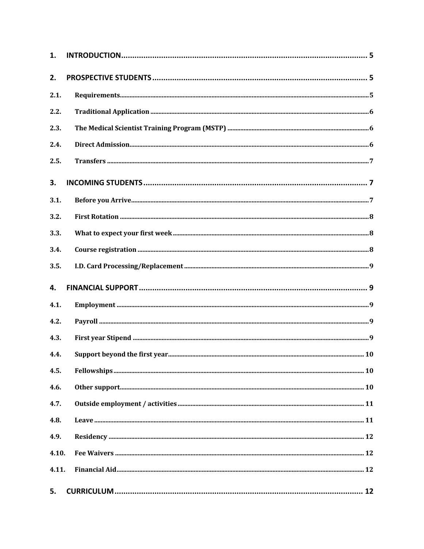| 1.    |  |
|-------|--|
| 2.    |  |
| 2.1.  |  |
| 2.2.  |  |
| 2.3.  |  |
| 2.4.  |  |
| 2.5.  |  |
| 3.    |  |
| 3.1.  |  |
| 3.2.  |  |
| 3.3.  |  |
| 3.4.  |  |
| 3.5.  |  |
| 4.    |  |
| 4.1.  |  |
| 4.2.  |  |
| 4.3.  |  |
|       |  |
| 4.4.  |  |
| 4.5.  |  |
| 4.6.  |  |
| 4.7.  |  |
| 4.8.  |  |
| 4.9.  |  |
| 4.10. |  |
| 4.11. |  |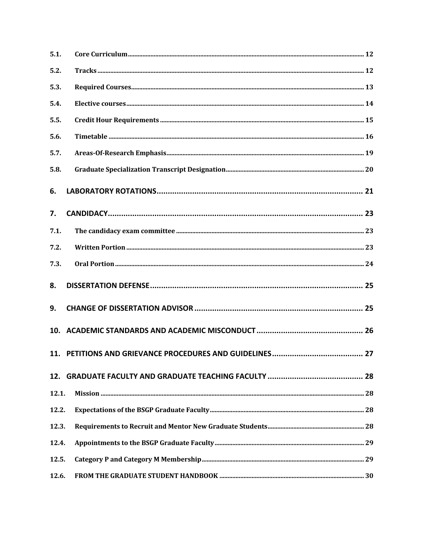| 5.1.             |  |
|------------------|--|
| 5.2.             |  |
| 5.3.             |  |
| 5.4.             |  |
| 5.5.             |  |
| 5.6.             |  |
| 5.7.             |  |
| 5.8.             |  |
| 6.               |  |
| $\overline{7}$ . |  |
| 7.1.             |  |
| 7.2.             |  |
| 7.3.             |  |
| 8.               |  |
| 9.               |  |
|                  |  |
|                  |  |
|                  |  |
| 12.1.            |  |
| 12.2.            |  |
| 12.3.            |  |
| 12.4.            |  |
| 12.5.            |  |
| 12.6.            |  |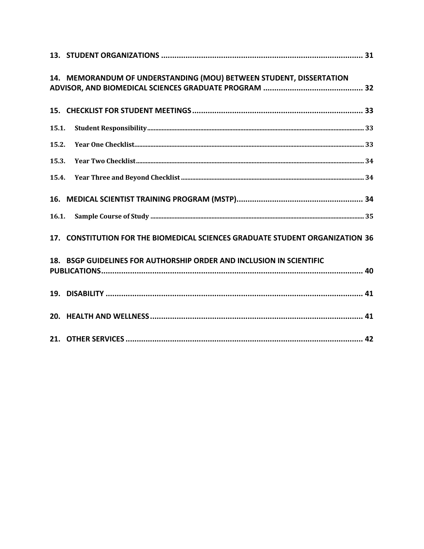|       | 14. MEMORANDUM OF UNDERSTANDING (MOU) BETWEEN STUDENT, DISSERTATION           |
|-------|-------------------------------------------------------------------------------|
|       |                                                                               |
| 15.1. |                                                                               |
| 15.2. |                                                                               |
| 15.3. |                                                                               |
| 15.4. |                                                                               |
|       |                                                                               |
|       |                                                                               |
|       | 17. CONSTITUTION FOR THE BIOMEDICAL SCIENCES GRADUATE STUDENT ORGANIZATION 36 |
|       | 18. BSGP GUIDELINES FOR AUTHORSHIP ORDER AND INCLUSION IN SCIENTIFIC          |
|       |                                                                               |
|       |                                                                               |
|       |                                                                               |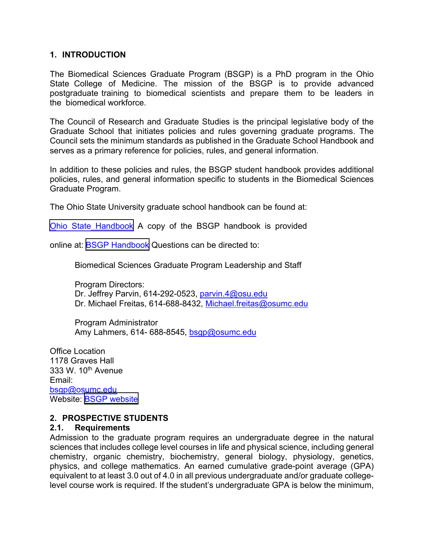#### **1. INTRODUCTION**

 The Biomedical Sciences Graduate Program (BSGP) is a PhD program in the Ohio State College of Medicine. The mission of the BSGP is to provide advanced postgraduate training to biomedical scientists and prepare them to be leaders in the biomedical workforce.

 The Council of Research and Graduate Studies is the principal legislative body of the Graduate School that initiates policies and rules governing graduate programs. The Council sets the minimum standards as published in the Graduate School Handbook and serves as a primary reference for policies, rules, and general information.

 In addition to these policies and rules, the BSGP student handbook provides additional policies, rules, and general information specific to students in the Biomedical Sciences Graduate Program.

The Ohio State University graduate school handbook can be found at:

[Ohio State Handbook](https://medicine.osu.edu/student-resources/student-handbook) A copy of the BSGP handbook is provided

online at: <u>BSGP Handbook</u> Questions can be directed to:

Biomedical Sciences Graduate Program Leadership and Staff

Dr. Michael Freitas, 614-688-8432, <u>Michael.freitas@osumc.edu</u> Program Directors: Dr. Jeffrey Parvin, 614-292-0523, [parvin.4@osu.edu](mailto:parvin.4@osu.edu)

Amy Lahmers, 614- 688-8545, <u>bsgp@osumc.edu</u> Program Administrator

 Office Location 333 W. 10<sup>th</sup> Avenue 1178 Graves Hall Email: [bsgp@osumc.edu](mailto:bsgp@osumc.edu)  Website: [BSGP website](https://medicine.osu.edu/education/phd/biomedical-sciences)

# **2. PROSPECTIVE STUDENTS**

#### **2.1. Requirements**

 Admission to the graduate program requires an undergraduate degree in the natural sciences that includes college level courses in life and physical science, including general chemistry, organic chemistry, biochemistry, general biology, physiology, genetics, physics, and college mathematics. An earned cumulative grade-point average (GPA) equivalent to at least 3.0 out of 4.0 in all previous undergraduate and/or graduate college-level course work is required. If the student's undergraduate GPA is below the minimum,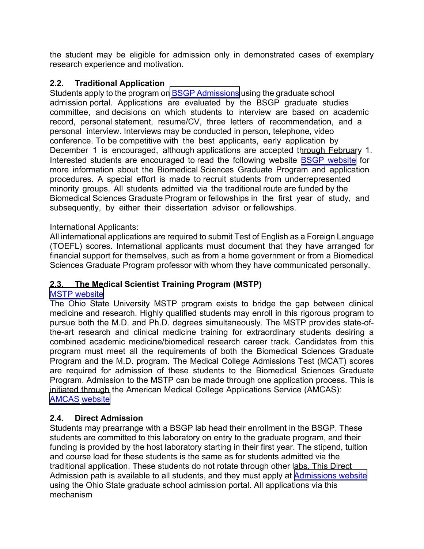the student may be eligible for admission only in demonstrated cases of exemplary research experience and motivation.

# **2.2. Traditional Application**

Students apply to the program on <u>[BSGP Admissions](https://medicine.osu.edu/education/phd/biomedical-sciences/admissions)</u> using the graduate school admission portal. Applications are evaluated by the BSGP graduate studies committee, and decisions on which students to interview are based on academic record, personal statement, resume/CV, three letters of recommendation, and a personal interview. Interviews may be conducted in person, telephone, video conference. To be competitive with the best applicants, early application by December 1 is encouraged, although applications are accepted through February 1. Interested students are encouraged to read the following website **BSGP** website for more information about the Biomedical Sciences Graduate Program and application procedures. A special effort is made to recruit students from underrepresented minority groups. All students admitted via the traditional route are funded by the Biomedical Sciences Graduate Program or fellowships in the first year of study, and subsequently, by either their dissertation advisor or fellowships.

# International Applicants:

 All international applications are required to submit Test of English as a Foreign Language (TOEFL) scores. International applicants must document that they have arranged for financial support for themselves, such as from a home government or from a Biomedical Sciences Graduate Program professor with whom they have communicated personally.

#### $2.3.$ **2.3. The Medical Scientist Training Program (MSTP)**

# [MSTP website](https://medicine.osu.edu/education/dual-degree/mstp)

 The Ohio State University MSTP program exists to bridge the gap between clinical medicine and research. Highly qualified students may enroll in this rigorous program to pursue both the M.D. and Ph.D. degrees simultaneously. The MSTP provides state-of- the-art research and clinical medicine training for extraordinary students desiring a combined academic medicine/biomedical research career track. Candidates from this program must meet all the requirements of both the Biomedical Sciences Graduate Program and the M.D. program. The Medical College Admissions Test (MCAT) scores are required for admission of these students to the Biomedical Sciences Graduate Program. Admission to the MSTP can be made through one application process. This is initiated through the American Medical College Applications Service (AMCAS): [AMCAS website](https://students-residents.aamc.org/applying-medical-school-amcas/applying-medical-school-amcas) 

# **2.4. Direct Admission**

 Students may prearrange with a BSGP lab head their enrollment in the BSGP. These students are committed to this laboratory on entry to the graduate program, and their funding is provided by the host laboratory starting in their first year. The stipend, tuition and course load for these students is the same as for students admitted via the traditional application. These students do not rotate through other labs. This Direct Admission path is available to all students, and they must apply at <u>[Admissions website](http://gpadmissions.osu.edu/programs/program.aspx?prog=0119#&&tab=apply)</u> using the Ohio State graduate school admission portal. All applications via this mechanism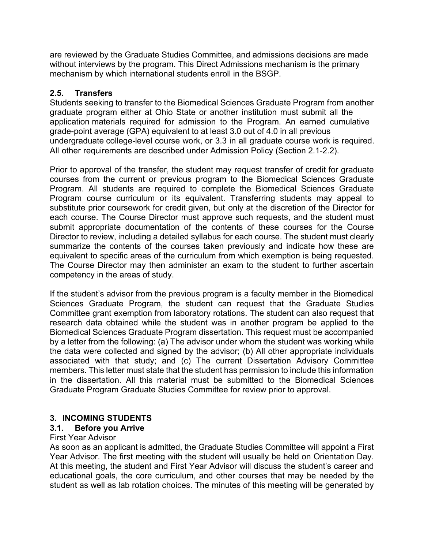are reviewed by the Graduate Studies Committee, and admissions decisions are made without interviews by the program. This Direct Admissions mechanism is the primary mechanism by which international students enroll in the BSGP.

# **2.5. Transfers**

 Students seeking to transfer to the Biomedical Sciences Graduate Program from another graduate program either at Ohio State or another institution must submit all the application materials required for admission to the Program. An earned cumulative grade-point average (GPA) equivalent to at least 3.0 out of 4.0 in all previous undergraduate college-level course work, or 3.3 in all graduate course work is required. All other requirements are described under Admission Policy (Section 2.1-2.2).

 Prior to approval of the transfer, the student may request transfer of credit for graduate courses from the current or previous program to the Biomedical Sciences Graduate Program. All students are required to complete the Biomedical Sciences Graduate Program course curriculum or its equivalent. Transferring students may appeal to substitute prior coursework for credit given, but only at the discretion of the Director for each course. The Course Director must approve such requests, and the student must submit appropriate documentation of the contents of these courses for the Course Director to review, including a detailed syllabus for each course. The student must clearly summarize the contents of the courses taken previously and indicate how these are equivalent to specific areas of the curriculum from which exemption is being requested. The Course Director may then administer an exam to the student to further ascertain competency in the areas of study.

 If the student's advisor from the previous program is a faculty member in the Biomedical Sciences Graduate Program, the student can request that the Graduate Studies Committee grant exemption from laboratory rotations. The student can also request that research data obtained while the student was in another program be applied to the Biomedical Sciences Graduate Program dissertation. This request must be accompanied by a letter from the following: (a) The advisor under whom the student was working while the data were collected and signed by the advisor; (b) All other appropriate individuals associated with that study; and (c) The current Dissertation Advisory Committee members. This letter must state that the student has permission to include this information in the dissertation. All this material must be submitted to the Biomedical Sciences Graduate Program Graduate Studies Committee for review prior to approval.

# **3. INCOMING STUDENTS**

#### $3.1.$ **3.1. Before you Arrive**

#### First Year Advisor

 As soon as an applicant is admitted, the Graduate Studies Committee will appoint a First Year Advisor. The first meeting with the student will usually be held on Orientation Day. At this meeting, the student and First Year Advisor will discuss the student's career and educational goals, the core curriculum, and other courses that may be needed by the student as well as lab rotation choices. The minutes of this meeting will be generated by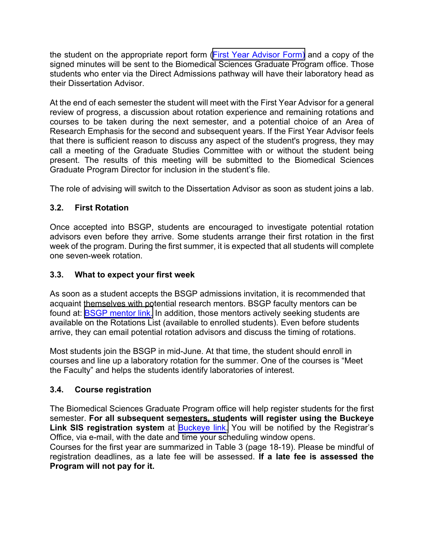the student on the appropriate report form (<mark>First Year Advisor Form)</mark> and a copy of the signed minutes will be sent to the Biomedical Sciences Graduate Program office. Those students who enter via the Direct Admissions pathway will have their laboratory head as their Dissertation Advisor.

 At the end of each semester the student will meet with the First Year Advisor for a general review of progress, a discussion about rotation experience and remaining rotations and courses to be taken during the next semester, and a potential choice of an Area of Research Emphasis for the second and subsequent years. If the First Year Advisor feels that there is sufficient reason to discuss any aspect of the student's progress, they may call a meeting of the Graduate Studies Committee with or without the student being present. The results of this meeting will be submitted to the Biomedical Sciences Graduate Program Director for inclusion in the student's file.

The role of advising will switch to the Dissertation Advisor as soon as student joins a lab.

# **3.2. First Rotation**

 Once accepted into BSGP, students are encouraged to investigate potential rotation advisors even before they arrive. Some students arrange their first rotation in the first week of the program. During the first summer, it is expected that all students will complete one seven-week rotation.

#### $3.3.$ **3.3. What to expect your first week**

 As soon as a student accepts the BSGP admissions invitation, it is recommended that acquaint themselves with potential research mentors. BSGP faculty mentors can be found at: <u>BSGP mentor link</u>. In addition, those mentors actively seeking students are available on the Rotations List (available to enrolled students). Even before students arrive, they can email potential rotation advisors and discuss the timing of rotations.

 Most students join the BSGP in mid-June. At that time, the student should enroll in courses and line up a laboratory rotation for the summer. One of the courses is "Meet the Faculty" and helps the students identify laboratories of interest.

# **3.4. Course registration**

 The Biomedical Sciences Graduate Program office will help register students for the first  semester. **For all subsequent semesters, students will register using the Buckeye**  Link SIS registration system at **Buckeye link**. You will be notified by the Registrar's Office, via e-mail, with the date and time your scheduling window opens.

 Courses for the first year are summarized in Table 3 (page 18-19). Please be mindful of registration deadlines, as a late fee will be assessed. **If a late fee is assessed the Program will not pay for it.**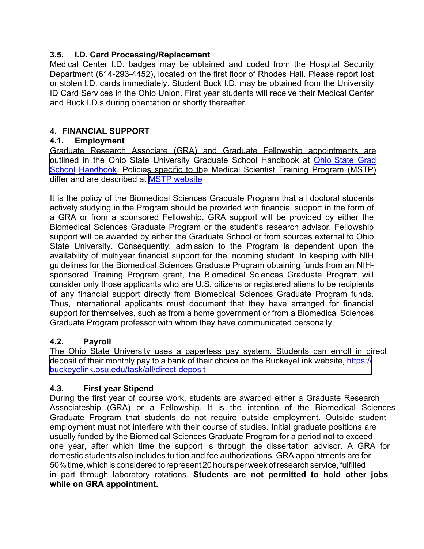#### $3.5.$ **3.5. I.D. Card Processing/Replacement**

 Medical Center I.D. badges may be obtained and coded from the Hospital Security Department (614-293-4452), located on the first floor of Rhodes Hall. Please report lost or stolen I.D. cards immediately. Student Buck I.D. may be obtained from the University ID Card Services in the Ohio Union. First year students will receive their Medical Center and Buck I.D.s during orientation or shortly thereafter.

# **4. FINANCIAL SUPPORT**

# **4.1. Employment**

 Graduate Research Associate (GRA) and Graduate Fellowship appointments are outlined in the Ohio State University Graduate School Handbook at <u>Ohio State Grad</u> <u>School</u> Handbook. Policies specific to the Medical Scientist Training Program (MSTP) differ and are described at <u>[MSTP website](https://medicine.osu.edu/education/dual-degree/mstp)</u>

 It is the policy of the Biomedical Sciences Graduate Program that all doctoral students actively studying in the Program should be provided with financial support in the form of a GRA or from a sponsored Fellowship. GRA support will be provided by either the Biomedical Sciences Graduate Program or the student's research advisor. Fellowship support will be awarded by either the Graduate School or from sources external to Ohio State University. Consequently, admission to the Program is dependent upon the availability of multiyear financial support for the incoming student. In keeping with NIH guidelines for the Biomedical Sciences Graduate Program obtaining funds from an NIH- sponsored Training Program grant, the Biomedical Sciences Graduate Program will consider only those applicants who are U.S. citizens or registered aliens to be recipients of any financial support directly from Biomedical Sciences Graduate Program funds. Thus, international applicants must document that they have arranged for financial support for themselves, such as from a home government or from a Biomedical Sciences Graduate Program professor with whom they have communicated personally.

#### $4.2.$ **4.2. Payroll**

 The Ohio State University uses a paperless pay system. Students can enroll in direct [deposit of their monthly pay to a bank of their choice on the BuckeyeLink website, https://](https://buckeyelink.osu.edu/task/all/direct-deposit) buckeyelink.osu.edu/task/all/direct-deposit

# **4.3. First year Stipend**

 During the first year of course work, students are awarded either a Graduate Research Associateship (GRA) or a Fellowship. It is the intention of the Biomedical Sciences Graduate Program that students do not require outside employment. Outside student employment must not interfere with their course of studies. Initial graduate positions are usually funded by the Biomedical Sciences Graduate Program for a period not to exceed one year, after which time the support is through the dissertation advisor. A GRA for domestic students also includes tuition and fee authorizations. GRA appointments are for 50% time, which is considered to represent 20 hours per week of research service, fulfilled in part through laboratory rotations. **Students are not permitted to hold other jobs while on GRA appointment.**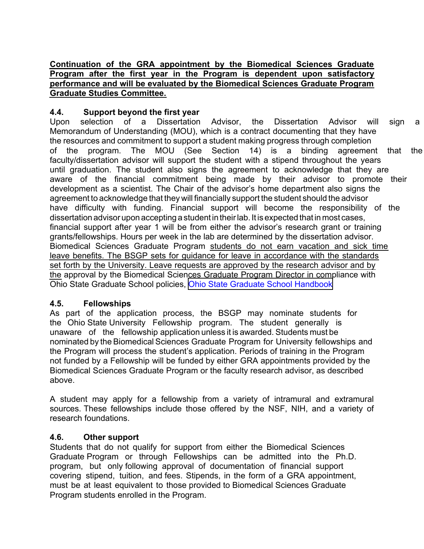# **Continuation of the GRA appointment by the Biomedical Sciences Graduate Program after the first year in the Program is dependent upon satisfactory performance and will be evaluated by the Biomedical Sciences Graduate Program Graduate Studies Committee.**

#### $4.4.$ **4.4. Support beyond the first year**

Upon Memorandum of Understanding (MOU), which is a contract documenting that they have the resources and commitment to support a student making progress through completion of the faculty/dissertation advisor will support the student with a stipend throughout the years until graduation. The student also signs the agreement to acknowledge that they are aware of the financial commitment being made by their advisor to promote their development as a scientist. The Chair of the advisor's home department also signs the agreement to acknowledge that they will financially support the student should the advisor have difficulty with funding. Financial support will become the responsibility of the dissertation advisor upon accepting a student in their lab. It is expected that in most cases, financial support after year 1 will be from either the advisor's research grant or training grants/fellowships. Hours per week in the lab are determined by the dissertation advisor. Biomedical Sciences Graduate Program students do not earn vacation and sick time leave benefits. The BSGP sets for guidance for leave in accordance with the standards set forth by the University. Leave requests are approved by the research advisor and by the approval by the Biomedical Sciences Graduate Program Director in compliance with Ohio State Graduate School policies, [Ohio State Graduate School Handbook](https://gradsch.osu.edu/handbook/all) selection of a Dissertation Advisor, the Dissertation Advisor will sign a program. The MOU (See Section 14) is a binding agreement that the

# **4.5. Fellowships**

 As part of the application process, the BSGP may nominate students for the Ohio State University Fellowship program. The student generally is unaware of the fellowship application unless it is awarded. Students must be nominated by the Biomedical Sciences Graduate Program for University fellowships and the Program will process the student's application. Periods of training in the Program not funded by a Fellowship will be funded by either GRA appointments provided by the Biomedical Sciences Graduate Program or the faculty research advisor, as described above.

 A student may apply for a fellowship from a variety of intramural and extramural sources. These fellowships include those offered by the NSF, NIH, and a variety of research foundations.

# **4.6. Other support**

 Students that do not qualify for support from either the Biomedical Sciences Graduate Program or through Fellowships can be admitted into the Ph.D. program, but only following approval of documentation of financial support covering stipend, tuition, and fees. Stipends, in the form of a GRA appointment, must be at least equivalent to those provided to Biomedical Sciences Graduate Program students enrolled in the Program.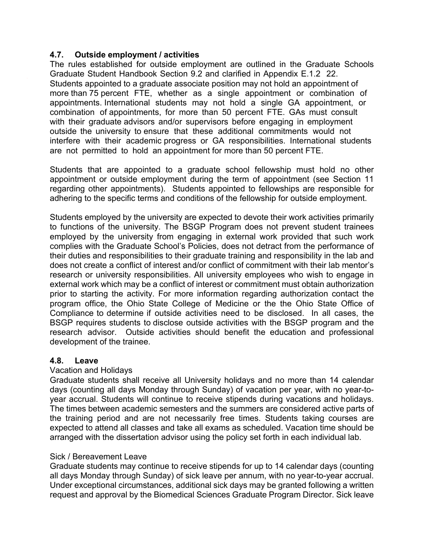#### **4.7. Outside employment / activities**

 The rules established for outside employment are outlined in the Graduate Schools Graduate Student Handbook Section 9.2 and clarified in Appendix E.1.2 22. Students appointed to a graduate associate position may not hold an appointment of more than 75 percent FTE, whether as a single appointment or combination of appointments. International students may not hold a single GA appointment, or combination of appointments, for more than 50 percent FTE. GAs must consult with their graduate advisors and/or supervisors before engaging in employment outside the university to ensure that these additional commitments would not interfere with their academic progress or GA responsibilities. International students are not permitted to hold an appointment for more than 50 percent FTE.

 Students that are appointed to a graduate school fellowship must hold no other appointment or outside employment during the term of appointment (see Section 11 regarding other appointments). Students appointed to fellowships are responsible for adhering to the specific terms and conditions of the fellowship for outside employment.

 Students employed by the university are expected to devote their work activities primarily to functions of the university. The BSGP Program does not prevent student trainees employed by the university from engaging in external work provided that such work complies with the Graduate School's Policies, does not detract from the performance of their duties and responsibilities to their graduate training and responsibility in the lab and does not create a conflict of interest and/or conflict of commitment with their lab mentor's research or university responsibilities. All university employees who wish to engage in external work which may be a conflict of interest or commitment must obtain authorization prior to starting the activity. For more information regarding authorization contact the program office, the Ohio State College of Medicine or the the Ohio State Office of Compliance to determine if outside activities need to be disclosed. In all cases, the BSGP requires students to disclose outside activities with the BSGP program and the research advisor. Outside activities should benefit the education and professional development of the trainee.

# **4.8. Leave**

#### Vacation and Holidays

 Graduate students shall receive all University holidays and no more than 14 calendar days (counting all days Monday through Sunday) of vacation per year, with no year-to- year accrual. Students will continue to receive stipends during vacations and holidays. The times between academic semesters and the summers are considered active parts of the training period and are not necessarily free times. Students taking courses are expected to attend all classes and take all exams as scheduled. Vacation time should be arranged with the dissertation advisor using the policy set forth in each individual lab.

#### Sick / Bereavement Leave

 Graduate students may continue to receive stipends for up to 14 calendar days (counting all days Monday through Sunday) of sick leave per annum, with no year-to-year accrual. Under exceptional circumstances, additional sick days may be granted following a written request and approval by the Biomedical Sciences Graduate Program Director. Sick leave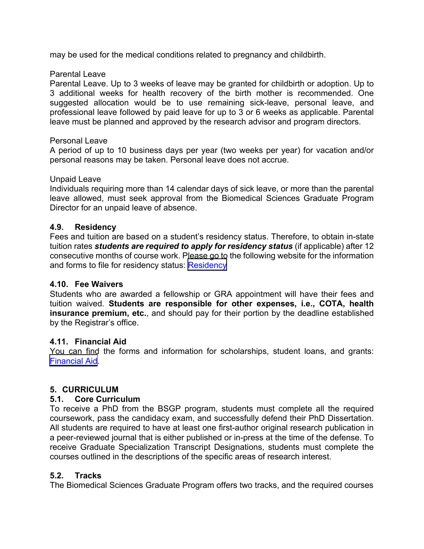may be used for the medical conditions related to pregnancy and childbirth.

### Parental Leave

 Parental Leave. Up to 3 weeks of leave may be granted for childbirth or adoption. Up to 3 additional weeks for health recovery of the birth mother is recommended. One suggested allocation would be to use remaining sick-leave, personal leave, and professional leave followed by paid leave for up to 3 or 6 weeks as applicable. Parental leave must be planned and approved by the research advisor and program directors.

# Personal Leave

 A period of up to 10 business days per year (two weeks per year) for vacation and/or personal reasons may be taken. Personal leave does not accrue.

#### Unpaid Leave

 Individuals requiring more than 14 calendar days of sick leave, or more than the parental leave allowed, must seek approval from the Biomedical Sciences Graduate Program Director for an unpaid leave of absence.

# **4.9. Residency**

 Fees and tuition are based on a student's residency status. Therefore, to obtain in-state  tuition rates *students are required to apply for residency status* (if applicable) after 12 consecutive months of course work. Please go to the following website for the information and forms to file for residency status: <u>Residency</u>

# **4.10. Fee Waivers**

 Students who are awarded a fellowship or GRA appointment will have their fees and tuition waived. **Students are responsible for other expenses, i.e., COTA, health insurance premium, etc.**, and should pay for their portion by the deadline established by the Registrar's office.

#### **4.11. Financial Aid**

 You can find the forms and information for scholarships, student loans, and grants: [Financial Aid.](https://sfa.osu.edu/)

# **5. CURRICULUM**

# **5.1. Core Curriculum**

 To receive a PhD from the BSGP program, students must complete all the required coursework, pass the candidacy exam, and successfully defend their PhD Dissertation. All students are required to have at least one first-author original research publication in a peer-reviewed journal that is either published or in-press at the time of the defense. To receive Graduate Specialization Transcript Designations, students must complete the courses outlined in the descriptions of the specific areas of research interest.

#### **5.2. Tracks**

The Biomedical Sciences Graduate Program offers two tracks, and the required courses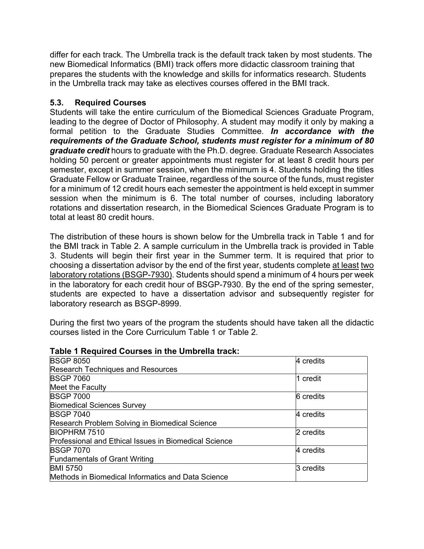differ for each track. The Umbrella track is the default track taken by most students. The new Biomedical Informatics (BMI) track offers more didactic classroom training that prepares the students with the knowledge and skills for informatics research. Students in the Umbrella track may take as electives courses offered in the BMI track.

# **5.3. Required Courses**

 Students will take the entire curriculum of the Biomedical Sciences Graduate Program, leading to the degree of Doctor of Philosophy. A student may modify it only by making a formal petition to the Graduate Studies Committee. *In accordance with the requirements of the Graduate School, students must register for a minimum of 80 graduate credit* hours to graduate with the Ph.D. degree. Graduate Research Associates holding 50 percent or greater appointments must register for at least 8 credit hours per semester, except in summer session, when the minimum is 4. Students holding the titles Graduate Fellow or Graduate Trainee, regardless of the source of the funds, must register for a minimum of 12 credit hours each semester the appointment is held except in summer session when the minimum is 6. The total number of courses, including laboratory rotations and dissertation research, in the Biomedical Sciences Graduate Program is to total at least 80 credit hours.

 The distribution of these hours is shown below for the Umbrella track in Table 1 and for the BMI track in Table 2. A sample curriculum in the Umbrella track is provided in Table 3. Students will begin their first year in the Summer term. It is required that prior to choosing a dissertation advisor by the end of the first year, students complete <u>at least</u> <u>two</u> <u>laboratory rotations (BSGP-7930)</u>. Students should spend a minimum of 4 hours per week in the laboratory for each credit hour of BSGP-7930. By the end of the spring semester, students are expected to have a dissertation advisor and subsequently register for laboratory research as BSGP-8999.

 During the first two years of the program the students should have taken all the didactic courses listed in the Core Curriculum Table 1 or Table 2.

| Table Trequired Courses in the Unibrelia track.       |            |  |
|-------------------------------------------------------|------------|--|
| <b>BSGP 8050</b>                                      | 4 credits  |  |
| <b>Research Techniques and Resources</b>              |            |  |
| <b>BSGP 7060</b>                                      | 1 credit   |  |
| Meet the Faculty                                      |            |  |
| <b>BSGP 7000</b>                                      | 6 credits  |  |
| <b>Biomedical Sciences Survey</b>                     |            |  |
| <b>BSGP 7040</b>                                      | 4 credits  |  |
| Research Problem Solving in Biomedical Science        |            |  |
| <b>BIOPHRM 7510</b>                                   | 2 credits  |  |
| Professional and Ethical Issues in Biomedical Science |            |  |
| <b>BSGP 7070</b>                                      | 4 credits  |  |
| <b>Fundamentals of Grant Writing</b>                  |            |  |
| <b>BMI 5750</b>                                       | l3 credits |  |
| Methods in Biomedical Informatics and Data Science    |            |  |

# **Table 1 Required Courses in the Umbrella track:**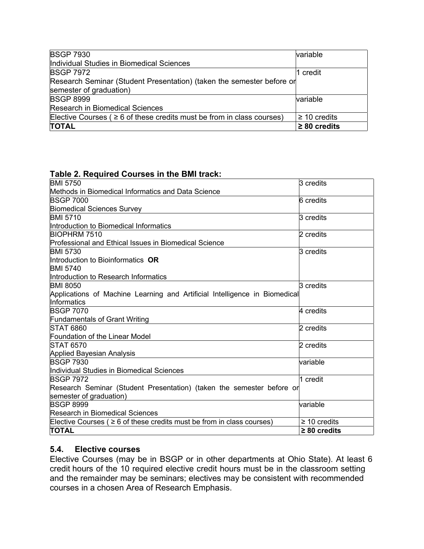| <b>BSGP 7930</b>                                                            | <b>variable</b>   |
|-----------------------------------------------------------------------------|-------------------|
| Individual Studies in Biomedical Sciences                                   |                   |
| <b>BSGP 7972</b>                                                            | 1 credit          |
| Research Seminar (Student Presentation) (taken the semester before or       |                   |
| semester of graduation)                                                     |                   |
| <b>BSGP 8999</b>                                                            | <b>variable</b>   |
| <b>Research in Biomedical Sciences</b>                                      |                   |
| Elective Courses ( $\geq 6$ of these credits must be from in class courses) | $\geq$ 10 credits |
| <b>TOTAL</b>                                                                | $\geq 80$ credits |

# **Table 2. Required Courses in the BMI track:**

| <b>BMI 5750</b>                                                             | 3 credits         |
|-----------------------------------------------------------------------------|-------------------|
| Methods in Biomedical Informatics and Data Science                          |                   |
| <b>BSGP 7000</b>                                                            | 6 credits         |
| <b>Biomedical Sciences Survey</b>                                           |                   |
| <b>BMI 5710</b>                                                             | 3 credits         |
| Introduction to Biomedical Informatics                                      |                   |
| BIOPHRM 7510                                                                | 2 credits         |
| Professional and Ethical Issues in Biomedical Science                       |                   |
| <b>BMI 5730</b>                                                             | 3 credits         |
| Introduction to Bioinformatics $\,\mathsf{OR}\,$                            |                   |
| <b>BMI 5740</b>                                                             |                   |
| Introduction to Research Informatics                                        |                   |
| <b>BMI 8050</b>                                                             | 3 credits         |
| Applications of Machine Learning and Artificial Intelligence in Biomedical  |                   |
| Informatics                                                                 |                   |
| <b>BSGP 7070</b>                                                            | 4 credits         |
| <b>Fundamentals of Grant Writing</b>                                        |                   |
| <b>STAT 6860</b>                                                            | 2 credits         |
| Foundation of the Linear Model                                              |                   |
| <b>STAT 6570</b>                                                            | 2 credits         |
| Applied Bayesian Analysis                                                   |                   |
| <b>BSGP 7930</b>                                                            | variable          |
| Individual Studies in Biomedical Sciences                                   |                   |
| <b>BSGP 7972</b>                                                            | 1 credit          |
| Research Seminar (Student Presentation) (taken the semester before or       |                   |
| semester of graduation)                                                     |                   |
| <b>BSGP 8999</b>                                                            | variable          |
| <b>Research in Biomedical Sciences</b>                                      |                   |
| Elective Courses ( $\geq 6$ of these credits must be from in class courses) | $\geq 10$ credits |
| <b>TOTAL</b>                                                                | $\geq 80$ credits |
|                                                                             |                   |

### **5.4. Elective courses**

 Elective Courses (may be in BSGP or in other departments at Ohio State). At least 6 credit hours of the 10 required elective credit hours must be in the classroom setting and the remainder may be seminars; electives may be consistent with recommended courses in a chosen Area of Research Emphasis.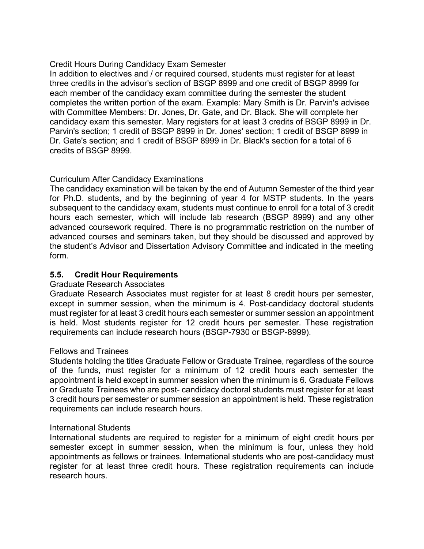# Credit Hours During Candidacy Exam Semester

 In addition to electives and / or required coursed, students must register for at least three credits in the advisor's section of BSGP 8999 and one credit of BSGP 8999 for each member of the candidacy exam committee during the semester the student completes the written portion of the exam. Example: Mary Smith is Dr. Parvin's advisee with Committee Members: Dr. Jones, Dr. Gate, and Dr. Black. She will complete her candidacy exam this semester. Mary registers for at least 3 credits of BSGP 8999 in Dr. Parvin's section; 1 credit of BSGP 8999 in Dr. Jones' section; 1 credit of BSGP 8999 in Dr. Gate's section; and 1 credit of BSGP 8999 in Dr. Black's section for a total of 6 credits of BSGP 8999.

# Curriculum After Candidacy Examinations

 The candidacy examination will be taken by the end of Autumn Semester of the third year for Ph.D. students, and by the beginning of year 4 for MSTP students. In the years subsequent to the candidacy exam, students must continue to enroll for a total of 3 credit hours each semester, which will include lab research (BSGP 8999) and any other advanced coursework required. There is no programmatic restriction on the number of advanced courses and seminars taken, but they should be discussed and approved by the student's Advisor and Dissertation Advisory Committee and indicated in the meeting form.

# **5.5. Credit Hour Requirements**

#### Graduate Research Associates

 Graduate Research Associates must register for at least 8 credit hours per semester, except in summer session, when the minimum is 4. Post-candidacy doctoral students must register for at least 3 credit hours each semester or summer session an appointment is held. Most students register for 12 credit hours per semester. These registration requirements can include research hours (BSGP-7930 or BSGP-8999).

### Fellows and Trainees

 Students holding the titles Graduate Fellow or Graduate Trainee, regardless of the source of the funds, must register for a minimum of 12 credit hours each semester the appointment is held except in summer session when the minimum is 6. Graduate Fellows or Graduate Trainees who are post- candidacy doctoral students must register for at least 3 credit hours per semester or summer session an appointment is held. These registration requirements can include research hours.

#### International Students

 International students are required to register for a minimum of eight credit hours per semester except in summer session, when the minimum is four, unless they hold appointments as fellows or trainees. International students who are post-candidacy must register for at least three credit hours. These registration requirements can include research hours.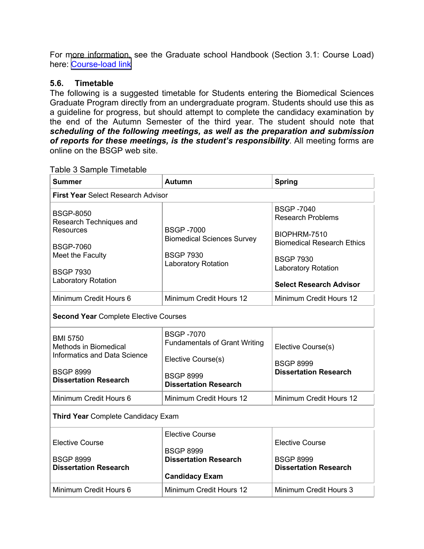For more information, see the Graduate school Handbook (Section 3.1: Course Load) here: [Course-load link](https://gradsch.osu.edu/handbook/3-1-registration-course-load)

#### **5.6. Timetable**

 The following is a suggested timetable for Students entering the Biomedical Sciences Graduate Program directly from an undergraduate program. Students should use this as a guideline for progress, but should attempt to complete the candidacy examination by the end of the Autumn Semester of the third year. The student should note that  *scheduling of the following meetings, as well as the preparation and submission of reports for these meetings, is the student's responsibility*. All meeting forms are online on the BSGP web site.

| <b>Summer</b>                                                   | <b>Autumn</b>                                            | <b>Spring</b>                                     |  |  |
|-----------------------------------------------------------------|----------------------------------------------------------|---------------------------------------------------|--|--|
| <b>First Year Select Research Advisor</b>                       |                                                          |                                                   |  |  |
| <b>BSGP-8050</b><br>Research Techniques and<br><b>Resources</b> | <b>BSGP-7000</b>                                         | <b>BSGP-7040</b><br><b>Research Problems</b>      |  |  |
| <b>BSGP-7060</b>                                                | <b>Biomedical Sciences Survey</b>                        | BIOPHRM-7510<br><b>Biomedical Research Ethics</b> |  |  |
| Meet the Faculty                                                | <b>BSGP 7930</b><br>Laboratory Rotation                  | <b>BSGP 7930</b><br><b>Laboratory Rotation</b>    |  |  |
| <b>BSGP 7930</b><br><b>Laboratory Rotation</b>                  |                                                          | <b>Select Research Advisor</b>                    |  |  |
| Minimum Credit Hours 6                                          | Minimum Credit Hours 12                                  | Minimum Credit Hours 12                           |  |  |
| <b>Second Year Complete Elective Courses</b>                    |                                                          |                                                   |  |  |
| <b>BMI 5750</b><br>Methods in Biomedical                        | <b>BSGP-7070</b><br><b>Fundamentals of Grant Writing</b> | Elective Course(s)                                |  |  |
| <b>Informatics and Data Science</b>                             | Elective Course(s)                                       | <b>BSGP 8999</b>                                  |  |  |
| <b>BSGP 8999</b><br><b>Dissertation Research</b>                | <b>BSGP 8999</b><br><b>Dissertation Research</b>         | <b>Dissertation Research</b>                      |  |  |
| Minimum Credit Hours 6                                          | Minimum Credit Hours 12                                  | Minimum Credit Hours 12                           |  |  |
| <b>Third Year Complete Candidacy Exam</b>                       |                                                          |                                                   |  |  |
| <b>Elective Course</b>                                          | <b>Elective Course</b><br><b>BSGP 8999</b>               | <b>Elective Course</b>                            |  |  |
| <b>BSGP 8999</b><br><b>Dissertation Research</b>                | <b>Dissertation Research</b>                             | <b>BSGP 8999</b><br><b>Dissertation Research</b>  |  |  |
|                                                                 | <b>Candidacy Exam</b>                                    |                                                   |  |  |
| Minimum Credit Hours 6                                          | Minimum Credit Hours 12                                  | Minimum Credit Hours 3                            |  |  |

Table 3 Sample Timetable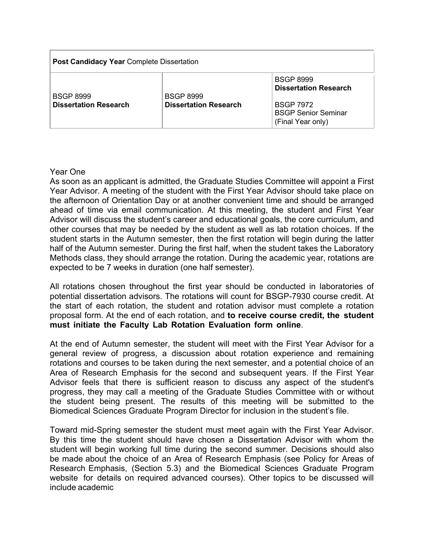| <b>Post Candidacy Year Complete Dissertation</b> |                                                  |                                                                                                                         |  |
|--------------------------------------------------|--------------------------------------------------|-------------------------------------------------------------------------------------------------------------------------|--|
| <b>BSGP 8999</b><br><b>Dissertation Research</b> | <b>BSGP 8999</b><br><b>Dissertation Research</b> | <b>BSGP 8999</b><br><b>Dissertation Research</b><br><b>BSGP 7972</b><br><b>BSGP Senior Seminar</b><br>(Final Year only) |  |

#### Year One

 As soon as an applicant is admitted, the Graduate Studies Committee will appoint a First Year Advisor. A meeting of the student with the First Year Advisor should take place on the afternoon of Orientation Day or at another convenient time and should be arranged ahead of time via email communication. At this meeting, the student and First Year Advisor will discuss the student's career and educational goals, the core curriculum, and other courses that may be needed by the student as well as lab rotation choices. If the student starts in the Autumn semester, then the first rotation will begin during the latter half of the Autumn semester. During the first half, when the student takes the Laboratory Methods class, they should arrange the rotation. During the academic year, rotations are expected to be 7 weeks in duration (one half semester).

 All rotations chosen throughout the first year should be conducted in laboratories of potential dissertation advisors. The rotations will count for BSGP-7930 course credit. At the start of each rotation, the student and rotation advisor must complete a rotation proposal form. At the end of each rotation, and **to receive course credit, the student must initiate the Faculty Lab Rotation Evaluation form online**.

 general review of progress, a discussion about rotation experience and remaining rotations and courses to be taken during the next semester, and a potential choice of an Area of Research Emphasis for the second and subsequent years. If the First Year Advisor feels that there is sufficient reason to discuss any aspect of the student's progress, they may call a meeting of the Graduate Studies Committee with or without the student being present. The results of this meeting will be submitted to the Biomedical Sciences Graduate Program Director for inclusion in the student's file. At the end of Autumn semester, the student will meet with the First Year Advisor for a

 By this time the student should have chosen a Dissertation Advisor with whom the student will begin working full time during the second summer. Decisions should also be made about the choice of an Area of Research Emphasis (see Policy for Areas of Research Emphasis, (Section 5.3) and the Biomedical Sciences Graduate Program website for details on required advanced courses). Other topics to be discussed will include academic Toward mid-Spring semester the student must meet again with the First Year Advisor.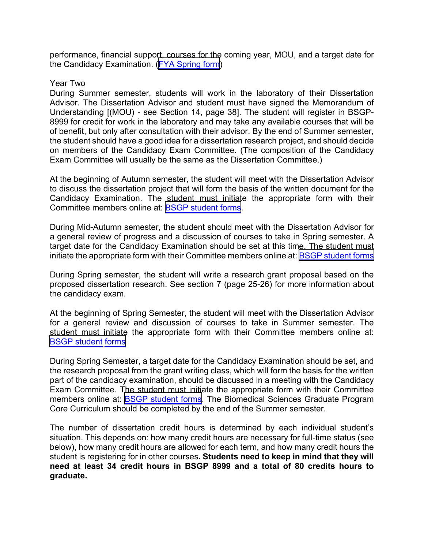performance, financial support, courses for the coming year, MOU, and a target date for the Candidacy Examination. (<u>[FYA Spring form](https://medicine.osu.edu/education/phd/biomedical-sciences/student-resources/handbook-and-forms)</u>)

#### Year Two

 During Summer semester, students will work in the laboratory of their Dissertation Advisor. The Dissertation Advisor and student must have signed the Memorandum of Understanding [(MOU) - see Section 14, page 38]. The student will register in BSGP- 8999 for credit for work in the laboratory and may take any available courses that will be of benefit, but only after consultation with their advisor. By the end of Summer semester, the student should have a good idea for a dissertation research project, and should decide on members of the Candidacy Exam Committee. (The composition of the Candidacy Exam Committee will usually be the same as the Dissertation Committee.)

 At the beginning of Autumn semester, the student will meet with the Dissertation Advisor to discuss the dissertation project that will form the basis of the written document for the Candidacy Examination. The student must initiate the appropriate form with their Committee members online at: <u>[BSGP student forms](https://medicine.osu.edu/education/phd/biomedical-sciences/student-resources/handbook-and-forms)</u>.

 During Mid-Autumn semester, the student should meet with the Dissertation Advisor for a general review of progress and a discussion of courses to take in Spring semester. A target date for the Candidacy Examination should be set at this time. The student must initiate the appropriate form with their Committee members online at: <u>BSGP student forms</u>

 During Spring semester, the student will write a research grant proposal based on the proposed dissertation research. See section 7 (page 25-26) for more information about the candidacy exam.

 At the beginning of Spring Semester, the student will meet with the Dissertation Advisor for a general review and discussion of courses to take in Summer semester. The student must initiate the appropriate form with their Committee members online at: [BSGP student forms](https://medicine.osu.edu/education/phd/biomedical-sciences/student-resources/handbook-and-forms)

 During Spring Semester, a target date for the Candidacy Examination should be set, and the research proposal from the grant writing class, which will form the basis for the written part of the candidacy examination, should be discussed in a meeting with the Candidacy Exam Committee. The student must initiate the appropriate form with their Committee members online at: <u>[BSGP student forms](https://medicine.osu.edu/education/phd/biomedical-sciences/student-resources/handbook-and-forms)</u>. The Biomedical Sciences Graduate Program Core Curriculum should be completed by the end of the Summer semester.

 The number of dissertation credit hours is determined by each individual student's situation. This depends on: how many credit hours are necessary for full-time status (see below), how many credit hours are allowed for each term, and how many credit hours the student is registering for in other courses**. Students need to keep in mind that they will need at least 34 credit hours in BSGP 8999 and a total of 80 credits hours to graduate.**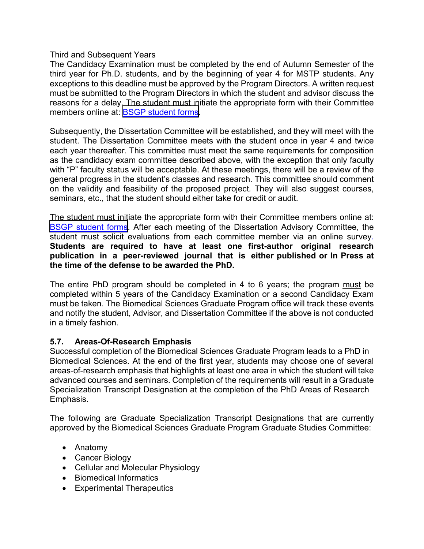Third and Subsequent Years

 The Candidacy Examination must be completed by the end of Autumn Semester of the third year for Ph.D. students, and by the beginning of year 4 for MSTP students. Any exceptions to this deadline must be approved by the Program Directors. A written request must be submitted to the Program Directors in which the student and advisor discuss the reasons for a delay. The student must initiate the appropriate form with their Committee members online at: <u>BSGP student forms</u>.

 Subsequently, the Dissertation Committee will be established, and they will meet with the student. The Dissertation Committee meets with the student once in year 4 and twice each year thereafter. This committee must meet the same requirements for composition as the candidacy exam committee described above, with the exception that only faculty with "P" faculty status will be acceptable. At these meetings, there will be a review of the general progress in the student's classes and research. This committee should comment on the validity and feasibility of the proposed project*.* They will also suggest courses, seminars, etc., that the student should either take for credit or audit.

 The student must initiate the appropriate form with their Committee members online at: [BSGP student forms](https://medicine.osu.edu/education/phd/biomedical-sciences/student-resources/handbook-and-forms). After each meeting of the Dissertation Advisory Committee, the student must solicit evaluations from each committee member via an online survey. **Students are required to have at least one first-author original research publication in a peer-reviewed journal that is either published or In Press at the time of the defense to be awarded the PhD.** 

The entire PhD program should be completed in 4 to 6 years; the program <u>must</u> be completed within 5 years of the Candidacy Examination or a second Candidacy Exam must be taken. The Biomedical Sciences Graduate Program office will track these events and notify the student, Advisor, and Dissertation Committee if the above is not conducted in a timely fashion.

# **5.7. Areas-Of-Research Emphasis**

 Successful completion of the Biomedical Sciences Graduate Program leads to a PhD in Biomedical Sciences. At the end of the first year, students may choose one of several areas-of-research emphasis that highlights at least one area in which the student will take advanced courses and seminars. Completion of the requirements will result in a Graduate Specialization Transcript Designation at the completion of the PhD Areas of Research Emphasis.

 The following are Graduate Specialization Transcript Designations that are currently approved by the Biomedical Sciences Graduate Program Graduate Studies Committee:

- Anatomy
- Cancer Biology
- Cellular and Molecular Physiology
- Biomedical Informatics
- Experimental Therapeutics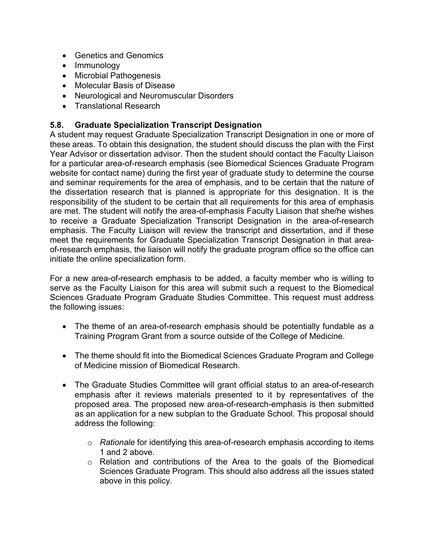- Genetics and Genomics
- Immunology
- Microbial Pathogenesis
- Molecular Basis of Disease
- Neurological and Neuromuscular Disorders
- Translational Research

# **5.8. Graduate Specialization Transcript Designation**

 A student may request Graduate Specialization Transcript Designation in one or more of these areas. To obtain this designation, the student should discuss the plan with the First Year Advisor or dissertation advisor. Then the student should contact the Faculty Liaison for a particular area-of-research emphasis (see Biomedical Sciences Graduate Program website for contact name) during the first year of graduate study to determine the course and seminar requirements for the area of emphasis, and to be certain that the nature of the dissertation research that is planned is appropriate for this designation. It is the responsibility of the student to be certain that all requirements for this area of emphasis are met. The student will notify the area-of-emphasis Faculty Liaison that she/he wishes to receive a Graduate Specialization Transcript Designation in the area-of-research emphasis. The Faculty Liaison will review the transcript and dissertation, and if these meet the requirements for Graduate Specialization Transcript Designation in that area- of-research emphasis, the liaison will notify the graduate program office so the office can initiate the online specialization form.

 For a new area-of-research emphasis to be added, a faculty member who is willing to serve as the Faculty Liaison for this area will submit such a request to the Biomedical Sciences Graduate Program Graduate Studies Committee. This request must address the following issues:

- • The theme of an area-of-research emphasis should be potentially fundable as a Training Program Grant from a source outside of the College of Medicine.
- • The theme should fit into the Biomedical Sciences Graduate Program and College of Medicine mission of Biomedical Research.
- • The Graduate Studies Committee will grant official status to an area-of-research emphasis after it reviews materials presented to it by representatives of the proposed area. The proposed new area-of-research-emphasis is then submitted as an application for a new subplan to the Graduate School. This proposal should address the following:
	- o *Rationale* for identifying this area-of-research emphasis according to items 1 and 2 above.
	- $\circ$  Relation and contributions of the Area to the goals of the Biomedical Sciences Graduate Program. This should also address all the issues stated above in this policy.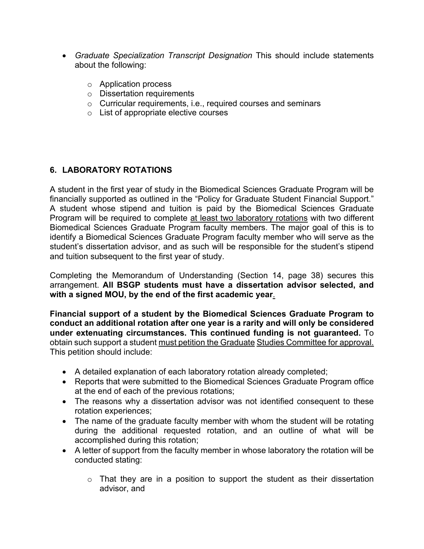- **•** Graduate Specialization Transcript Designation This should include statements about the following:
	- o Application process
	- o Dissertation requirements
	- $\circ$   $\,$  Curricular requirements, i.e., required courses and seminars
	- $\circ$  List of appropriate elective courses

# **6. LABORATORY ROTATIONS**

 A student in the first year of study in the Biomedical Sciences Graduate Program will be financially supported as outlined in the "Policy for Graduate Student Financial Support." A student whose stipend and tuition is paid by the Biomedical Sciences Graduate Program will be required to complete <u>at least two laboratory rotations</u> with two different Biomedical Sciences Graduate Program faculty members. The major goal of this is to identify a Biomedical Sciences Graduate Program faculty member who will serve as the student's dissertation advisor, and as such will be responsible for the student's stipend and tuition subsequent to the first year of study.

 Completing the Memorandum of Understanding (Section 14, page 38) secures this  arrangement. **All BSGP students must have a dissertation advisor selected, and with a signed MOU, by the end of the first academic year**.

 **Financial support of a student by the Biomedical Sciences Graduate Program to conduct an additional rotation after one year is a rarity and will only be considered under extenuating circumstances. This continued funding is not guaranteed.** To obtain such support a student <u>must petition the Graduate Studies Committee for approval.</u> This petition should include:

- A detailed explanation of each laboratory rotation already completed;
- • Reports that were submitted to the Biomedical Sciences Graduate Program office at the end of each of the previous rotations;
- • The reasons why a dissertation advisor was not identified consequent to these rotation experiences;
- • The name of the graduate faculty member with whom the student will be rotating during the additional requested rotation, and an outline of what will be accomplished during this rotation;
- • A letter of support from the faculty member in whose laboratory the rotation will be conducted stating:
	- $\circ$  That they are in a position to support the student as their dissertation advisor, and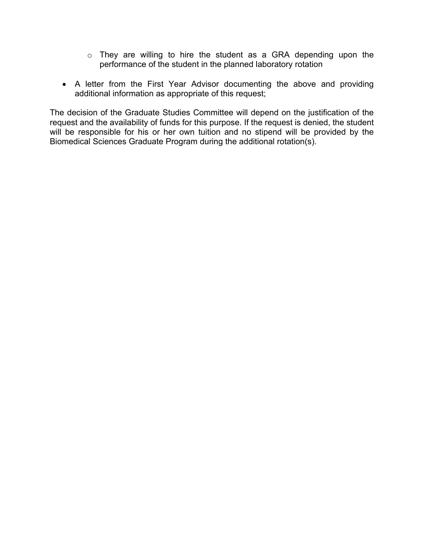- $\circ$  They are willing to hire the student as a GRA depending upon the performance of the student in the planned laboratory rotation
- • A letter from the First Year Advisor documenting the above and providing additional information as appropriate of this request;

 The decision of the Graduate Studies Committee will depend on the justification of the request and the availability of funds for this purpose. If the request is denied, the student will be responsible for his or her own tuition and no stipend will be provided by the Biomedical Sciences Graduate Program during the additional rotation(s).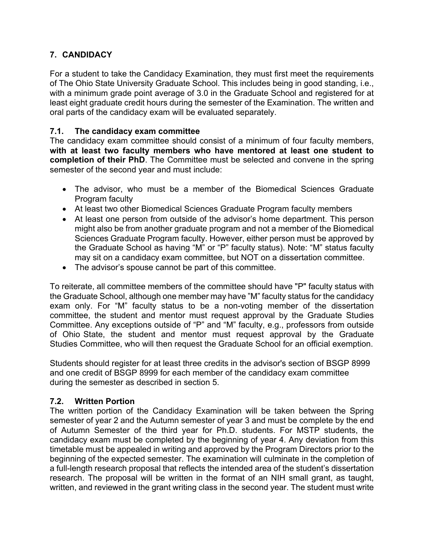# **7. CANDIDACY**

 For a student to take the Candidacy Examination, they must first meet the requirements of The Ohio State University Graduate School. This includes being in good standing, i.e., with a minimum grade point average of 3.0 in the Graduate School and registered for at least eight graduate credit hours during the semester of the Examination. The written and oral parts of the candidacy exam will be evaluated separately.

#### $7.1.$ **7.1. The candidacy exam committee**

 The candidacy exam committee should consist of a minimum of four faculty members,  **with at least two faculty members who have mentored at least one student to completion of their PhD**. The Committee must be selected and convene in the spring semester of the second year and must include:

- • The advisor, who must be a member of the Biomedical Sciences Graduate Program faculty
- At least two other Biomedical Sciences Graduate Program faculty members
- • At least one person from outside of the advisor's home department. This person might also be from another graduate program and not a member of the Biomedical Sciences Graduate Program faculty. However, either person must be approved by the Graduate School as having "M" or "P" faculty status). Note: "M" status faculty may sit on a candidacy exam committee, but NOT on a dissertation committee.
- The advisor's spouse cannot be part of this committee.

 To reiterate, all committee members of the committee should have "P" faculty status with the Graduate School, although one member may have "M" faculty status for the candidacy exam only. For "M" faculty status to be a non-voting member of the dissertation committee, the student and mentor must request approval by the Graduate Studies Committee. Any exceptions outside of "P" and "M" faculty, e.g., professors from outside of Ohio State, the student and mentor must request approval by the Graduate Studies Committee, who will then request the Graduate School for an official exemption.

 Students should register for at least three credits in the advisor's section of BSGP 8999 and one credit of BSGP 8999 for each member of the candidacy exam committee during the semester as described in section 5.

#### $7.2.$ **7.2. Written Portion**

 The written portion of the Candidacy Examination will be taken between the Spring semester of year 2 and the Autumn semester of year 3 and must be complete by the end of Autumn Semester of the third year for Ph.D. students. For MSTP students, the candidacy exam must be completed by the beginning of year 4. Any deviation from this timetable must be appealed in writing and approved by the Program Directors prior to the beginning of the expected semester. The examination will culminate in the completion of a full-length research proposal that reflects the intended area of the student's dissertation research. The proposal will be written in the format of an NIH small grant, as taught, written, and reviewed in the grant writing class in the second year. The student must write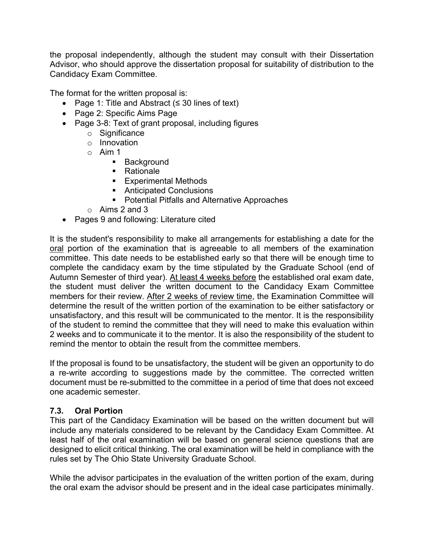the proposal independently, although the student may consult with their Dissertation Advisor, who should approve the dissertation proposal for suitability of distribution to the Candidacy Exam Committee.

Candidacy Exam Committee.<br>The format for the written proposal is:

- Page 1: Title and Abstract (≤ 30 lines of text)
- Page 2: Specific Aims Page
- • Page 3-8: Text of grant proposal, including figures
	- o Significance
	- o Innovation
	- o Aim 1
		- Background
		- Rationale
		- Experimental Methods
		- Anticipated Conclusions
		- Potential Pitfalls and Alternative Approaches
	- $\circ$  Aims 2 and 3
- Pages 9 and following: Literature cited

 It is the student's responsibility to make all arrangements for establishing a date for the <u>oral</u> portion of the examination that is agreeable to all members of the examination committee. This date needs to be established early so that there will be enough time to complete the candidacy exam by the time stipulated by the Graduate School (end of Autumn Semester of third year). <u>At least 4 weeks before</u> the established oral exam date, the student must deliver the written document to the Candidacy Exam Committee members for their review. <u>After 2 weeks of review time</u>, the Examination Committee will determine the result of the written portion of the examination to be either satisfactory or unsatisfactory, and this result will be communicated to the mentor. It is the responsibility of the student to remind the committee that they will need to make this evaluation within 2 weeks and to communicate it to the mentor. It is also the responsibility of the student to remind the mentor to obtain the result from the committee members.

 If the proposal is found to be unsatisfactory, the student will be given an opportunity to do a re-write according to suggestions made by the committee. The corrected written document must be re-submitted to the committee in a period of time that does not exceed one academic semester.

#### $7.3.$ **7.3. Oral Portion**

 This part of the Candidacy Examination will be based on the written document but will include any materials considered to be relevant by the Candidacy Exam Committee. At least half of the oral examination will be based on general science questions that are designed to elicit critical thinking. The oral examination will be held in compliance with the rules set by The Ohio State University Graduate School.

 While the advisor participates in the evaluation of the written portion of the exam, during the oral exam the advisor should be present and in the ideal case participates minimally.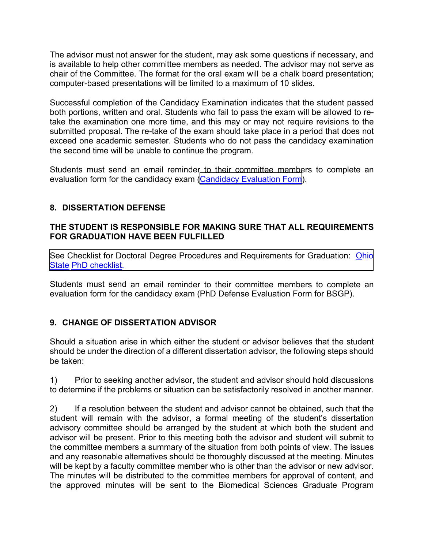The advisor must not answer for the student, may ask some questions if necessary, and is available to help other committee members as needed. The advisor may not serve as chair of the Committee. The format for the oral exam will be a chalk board presentation; computer-based presentations will be limited to a maximum of 10 slides.

 Successful completion of the Candidacy Examination indicates that the student passed both portions, written and oral. Students who fail to pass the exam will be allowed to re- take the examination one more time, and this may or may not require revisions to the submitted proposal. The re-take of the exam should take place in a period that does not exceed one academic semester. Students who do not pass the candidacy examination the second time will be unable to continue the program.

 Students must send an email reminder to their committee members to complete an evaluation form for the candidacy exam (<u>[Candidacy Evaluation Form](https://medicine.osu.edu/education/phd/biomedical-sciences/student-resources/handbook-and-forms)</u>).

# **8. DISSERTATION DEFENSE**

# **THE STUDENT IS RESPONSIBLE FOR MAKING SURE THAT ALL REQUIREMENTS FOR GRADUATION HAVE BEEN FULFILLED**

[See Checklist for Doctoral Degree Procedures and Requirements for Graduation:](http://www.gradsch.osu.edu/Depo/PDF/DoctoralChecklist.pdf) <u>Ohio</u> State PhD checklist.

 Students must send an email reminder to their committee members to complete an evaluation form for the candidacy exam (PhD Defense Evaluation Form for BSGP).

# **9. CHANGE OF DISSERTATION ADVISOR**

 Should a situation arise in which either the student or advisor believes that the student should be under the direction of a different dissertation advisor, the following steps should be taken:

 1) Prior to seeking another advisor, the student and advisor should hold discussions to determine if the problems or situation can be satisfactorily resolved in another manner.

 $(2)$  student will remain with the advisor, a formal meeting of the student's dissertation advisory committee should be arranged by the student at which both the student and advisor will be present. Prior to this meeting both the advisor and student will submit to the committee members a summary of the situation from both points of view. The issues and any reasonable alternatives should be thoroughly discussed at the meeting. Minutes will be kept by a faculty committee member who is other than the advisor or new advisor. The minutes will be distributed to the committee members for approval of content, and the approved minutes will be sent to the Biomedical Sciences Graduate Program2) If a resolution between the student and advisor cannot be obtained, such that the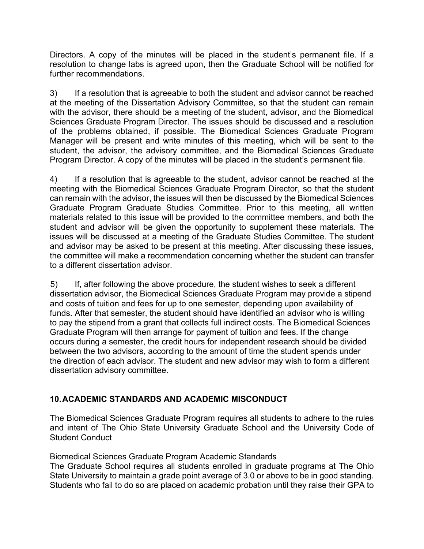Directors. A copy of the minutes will be placed in the student's permanent file. If a resolution to change labs is agreed upon, then the Graduate School will be notified for further recommendations.

 $3)$  at the meeting of the Dissertation Advisory Committee, so that the student can remain with the advisor, there should be a meeting of the student, advisor, and the Biomedical Sciences Graduate Program Director. The issues should be discussed and a resolution of the problems obtained, if possible. The Biomedical Sciences Graduate Program Manager will be present and write minutes of this meeting, which will be sent to the student, the advisor, the advisory committee, and the Biomedical Sciences Graduate Program Director. A copy of the minutes will be placed in the student's permanent file. If a resolution that is agreeable to both the student and advisor cannot be reached

4) meeting with the Biomedical Sciences Graduate Program Director, so that the student can remain with the advisor, the issues will then be discussed by the Biomedical Sciences Graduate Program Graduate Studies Committee. Prior to this meeting, all written materials related to this issue will be provided to the committee members, and both the student and advisor will be given the opportunity to supplement these materials. The issues will be discussed at a meeting of the Graduate Studies Committee. The student and advisor may be asked to be present at this meeting. After discussing these issues, the committee will make a recommendation concerning whether the student can transfer to a different dissertation advisor. If a resolution that is agreeable to the student, advisor cannot be reached at the

5) dissertation advisor, the Biomedical Sciences Graduate Program may provide a stipend and costs of tuition and fees for up to one semester, depending upon availability of funds. After that semester, the student should have identified an advisor who is willing to pay the stipend from a grant that collects full indirect costs. The Biomedical Sciences Graduate Program will then arrange for payment of tuition and fees. If the change occurs during a semester, the credit hours for independent research should be divided between the two advisors, according to the amount of time the student spends under the direction of each advisor. The student and new advisor may wish to form a different If, after following the above procedure, the student wishes to seek a different dissertation advisory committee.

# **10.ACADEMIC STANDARDS AND ACADEMIC MISCONDUCT**

 The Biomedical Sciences Graduate Program requires all students to adhere to the rules and intent of The Ohio State University Graduate School and the University Code of Student Conduct

Biomedical Sciences Graduate Program Academic Standards

 The Graduate School requires all students enrolled in graduate programs at The Ohio State University to maintain a grade point average of 3.0 or above to be in good standing. Students who fail to do so are placed on academic probation until they raise their GPA to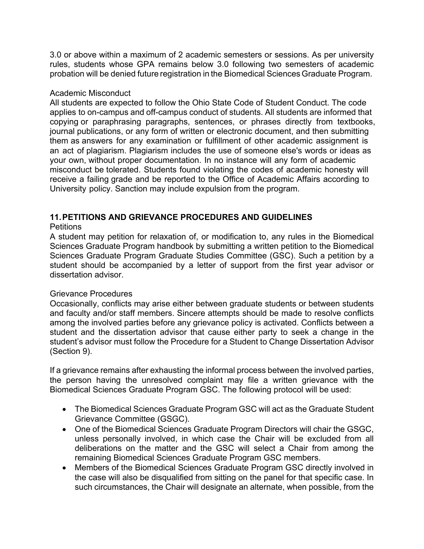3.0 or above within a maximum of 2 academic semesters or sessions. As per university rules, students whose GPA remains below 3.0 following two semesters of academic probation will be denied future registration in the Biomedical Sciences Graduate Program.

#### Academic Misconduct

 All students are expected to follow the Ohio State Code of Student Conduct. The code applies to on-campus and off-campus conduct of students. All students are informed that copying or paraphrasing paragraphs, sentences, or phrases directly from textbooks, journal publications, or any form of written or electronic document, and then submitting them as answers for any examination or fulfillment of other academic assignment is an act of plagiarism. Plagiarism includes the use of someone else's words or ideas as your own, without proper documentation. In no instance will any form of academic misconduct be tolerated. Students found violating the codes of academic honesty will receive a failing grade and be reported to the Office of Academic Affairs according to University policy. Sanction may include expulsion from the program.

# **11.PETITIONS AND GRIEVANCE PROCEDURES AND GUIDELINES**

#### **Petitions**

 A student may petition for relaxation of, or modification to, any rules in the Biomedical Sciences Graduate Program handbook by submitting a written petition to the Biomedical Sciences Graduate Program Graduate Studies Committee (GSC). Such a petition by a student should be accompanied by a letter of support from the first year advisor or dissertation advisor.

#### Grievance Procedures

 Occasionally, conflicts may arise either between graduate students or between students and faculty and/or staff members. Sincere attempts should be made to resolve conflicts among the involved parties before any grievance policy is activated. Conflicts between a student and the dissertation advisor that cause either party to seek a change in the student's advisor must follow the Procedure for a Student to Change Dissertation Advisor (Section 9).

 If a grievance remains after exhausting the informal process between the involved parties, the person having the unresolved complaint may file a written grievance with the Biomedical Sciences Graduate Program GSC. The following protocol will be used:

- • The Biomedical Sciences Graduate Program GSC will act as the Graduate Student Grievance Committee (GSGC).
- • One of the Biomedical Sciences Graduate Program Directors will chair the GSGC, unless personally involved, in which case the Chair will be excluded from all deliberations on the matter and the GSC will select a Chair from among the remaining Biomedical Sciences Graduate Program GSC members.
- • Members of the Biomedical Sciences Graduate Program GSC directly involved in the case will also be disqualified from sitting on the panel for that specific case. In such circumstances, the Chair will designate an alternate, when possible, from the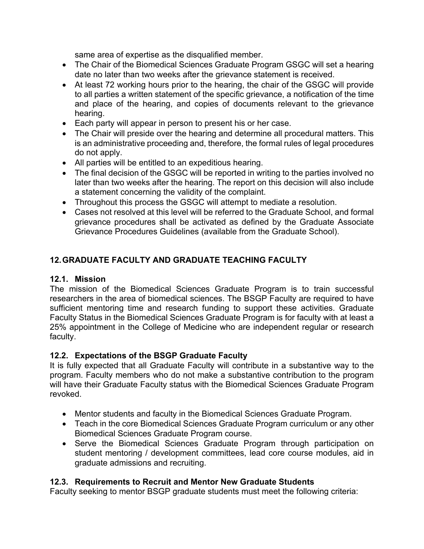same area of expertise as the disqualified member.

- • The Chair of the Biomedical Sciences Graduate Program GSGC will set a hearing date no later than two weeks after the grievance statement is received.
- • At least 72 working hours prior to the hearing, the chair of the GSGC will provide to all parties a written statement of the specific grievance, a notification of the time and place of the hearing, and copies of documents relevant to the grievance hearing.
- Each party will appear in person to present his or her case.
- • The Chair will preside over the hearing and determine all procedural matters. This is an administrative proceeding and, therefore, the formal rules of legal procedures do not apply.
- All parties will be entitled to an expeditious hearing.
- • The final decision of the GSGC will be reported in writing to the parties involved no later than two weeks after the hearing. The report on this decision will also include a statement concerning the validity of the complaint.
- Throughout this process the GSGC will attempt to mediate a resolution.
- • Cases not resolved at this level will be referred to the Graduate School, and formal grievance procedures shall be activated as defined by the Graduate Associate Grievance Procedures Guidelines (available from the Graduate School).

# **12.GRADUATE FACULTY AND GRADUATE TEACHING FACULTY**

# **12.1. Mission**

 The mission of the Biomedical Sciences Graduate Program is to train successful researchers in the area of biomedical sciences. The BSGP Faculty are required to have sufficient mentoring time and research funding to support these activities. Graduate Faculty Status in the Biomedical Sciences Graduate Program is for faculty with at least a 25% appointment in the College of Medicine who are independent regular or research faculty.

# **12.2. Expectations of the BSGP Graduate Faculty**

 It is fully expected that all Graduate Faculty will contribute in a substantive way to the program. Faculty members who do not make a substantive contribution to the program will have their Graduate Faculty status with the Biomedical Sciences Graduate Program revoked.

- Mentor students and faculty in the Biomedical Sciences Graduate Program.
- • Teach in the core Biomedical Sciences Graduate Program curriculum or any other Biomedical Sciences Graduate Program course.
- • Serve the Biomedical Sciences Graduate Program through participation on student mentoring / development committees, lead core course modules, aid in graduate admissions and recruiting.

# **12.3. Requirements to Recruit and Mentor New Graduate Students**

Faculty seeking to mentor BSGP graduate students must meet the following criteria: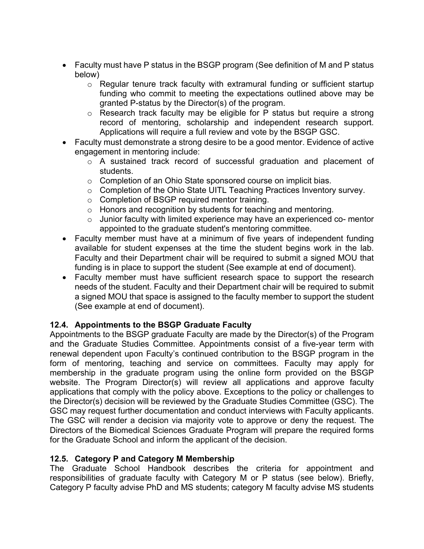- • Faculty must have P status in the BSGP program (See definition of M and P status below)
	- $\circ$  Regular tenure track faculty with extramural funding or sufficient startup funding who commit to meeting the expectations outlined above may be granted P-status by the Director(s) of the program.
	- $\circ$  Research track faculty may be eligible for P status but require a strong record of mentoring, scholarship and independent research support. Applications will require a full review and vote by the BSGP GSC.
- • Faculty must demonstrate a strong desire to be a good mentor. Evidence of active engagement in mentoring include:
	- $\circ$  A sustained track record of successful graduation and placement of students.
	- $\circ$  Completion of an Ohio State sponsored course on implicit bias.
	- $\circ$  Completion of the Ohio State UITL Teaching Practices Inventory survey.
	- $\circ$  Completion of BSGP required mentor training.
	- $\circ$  Honors and recognition by students for teaching and mentoring.
	- $\circ$  Junior faculty with limited experience may have an experienced co- mentor appointed to the graduate student's mentoring committee.
- • Faculty member must have at a minimum of five years of independent funding available for student expenses at the time the student begins work in the lab. Faculty and their Department chair will be required to submit a signed MOU that funding is in place to support the student (See example at end of document).
- • Faculty member must have sufficient research space to support the research needs of the student. Faculty and their Department chair will be required to submit a signed MOU that space is assigned to the faculty member to support the student (See example at end of document).

# **12.4. Appointments to the BSGP Graduate Faculty**

 Appointments to the BSGP graduate Faculty are made by the Director(s) of the Program and the Graduate Studies Committee. Appointments consist of a five-year term with renewal dependent upon Faculty's continued contribution to the BSGP program in the form of mentoring, teaching and service on committees. Faculty may apply for membership in the graduate program using the online form provided on the BSGP website. The Program Director(s) will review all applications and approve faculty applications that comply with the policy above. Exceptions to the policy or challenges to the Director(s) decision will be reviewed by the Graduate Studies Committee (GSC). The GSC may request further documentation and conduct interviews with Faculty applicants. The GSC will render a decision via majority vote to approve or deny the request. The Directors of the Biomedical Sciences Graduate Program will prepare the required forms for the Graduate School and inform the applicant of the decision.

# **12.5. Category P and Category M Membership**

 The Graduate School Handbook describes the criteria for appointment and responsibilities of graduate faculty with Category M or P status (see below). Briefly, Category P faculty advise PhD and MS students; category M faculty advise MS students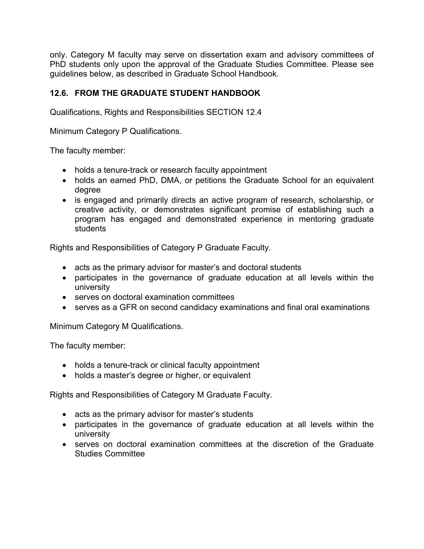only. Category M faculty may serve on dissertation exam and advisory committees of PhD students only upon the approval of the Graduate Studies Committee. Please see guidelines below, as described in Graduate School Handbook.

# **12.6. FROM THE GRADUATE STUDENT HANDBOOK**

Qualifications, Rights and Responsibilities SECTION 12.4

Minimum Category P Qualifications.

The faculty member:

- holds a tenure-track or research faculty appointment
- • holds an earned PhD, DMA, or petitions the Graduate School for an equivalent degree
- • is engaged and primarily directs an active program of research, scholarship, or creative activity, or demonstrates significant promise of establishing such a program has engaged and demonstrated experience in mentoring graduate students

Rights and Responsibilities of Category P Graduate Faculty.

- acts as the primary advisor for master's and doctoral students
- • participates in the governance of graduate education at all levels within the university
- serves on doctoral examination committees
- serves as a GFR on second candidacy examinations and final oral examinations

Minimum Category M Qualifications.

The faculty member:

- holds a tenure-track or clinical faculty appointment
- holds a master's degree or higher, or equivalent

Rights and Responsibilities of Category M Graduate Faculty.

- acts as the primary advisor for master's students
- • participates in the governance of graduate education at all levels within the university
- • serves on doctoral examination committees at the discretion of the Graduate Studies Committee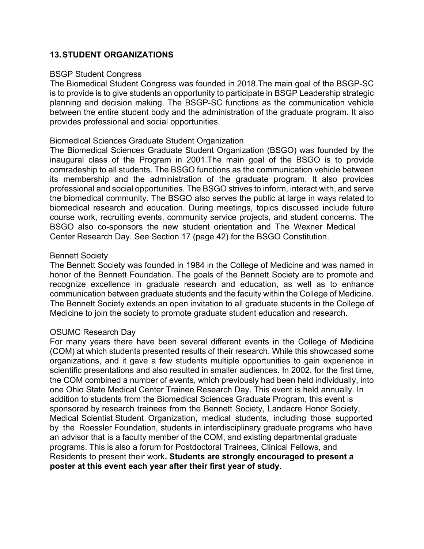# **13.STUDENT ORGANIZATIONS**

#### BSGP Student Congress

 The Biomedical Student Congress was founded in 2018.The main goal of the BSGP-SC is to provide is to give students an opportunity to participate in BSGP Leadership strategic planning and decision making. The BSGP-SC functions as the communication vehicle between the entire student body and the administration of the graduate program. It also provides professional and social opportunities.

#### Biomedical Sciences Graduate Student Organization

 The Biomedical Sciences Graduate Student Organization (BSGO) was founded by the inaugural class of the Program in 2001.The main goal of the BSGO is to provide comradeship to all students. The BSGO functions as the communication vehicle between its membership and the administration of the graduate program. It also provides professional and social opportunities. The BSGO strives to inform, interact with, and serve the biomedical community. The BSGO also serves the public at large in ways related to biomedical research and education. During meetings, topics discussed include future course work, recruiting events, community service projects, and student concerns. The BSGO also co-sponsors the new student orientation and The Wexner Medical Center Research Day. See Section 17 (page 42) for the BSGO Constitution.

#### Bennett Society

 The Bennett Society was founded in 1984 in the College of Medicine and was named in honor of the Bennett Foundation. The goals of the Bennett Society are to promote and recognize excellence in graduate research and education, as well as to enhance communication between graduate students and the faculty within the College of Medicine. The Bennett Society extends an open invitation to all graduate students in the College of Medicine to join the society to promote graduate student education and research.

#### OSUMC Research Day

 For many years there have been several different events in the College of Medicine (COM) at which students presented results of their research. While this showcased some organizations, and it gave a few students multiple opportunities to gain experience in scientific presentations and also resulted in smaller audiences. In 2002, for the first time, the COM combined a number of events, which previously had been held individually, into one Ohio State Medical Center Trainee Research Day. This event is held annually. In addition to students from the Biomedical Sciences Graduate Program, this event is sponsored by research trainees from the Bennett Society, Landacre Honor Society, Medical Scientist Student Organization, medical students, including those supported by the Roessler Foundation, students in interdisciplinary graduate programs who have an advisor that is a faculty member of the COM, and existing departmental graduate programs. This is also a forum for Postdoctoral Trainees, Clinical Fellows, and  Residents to present their work**. Students are strongly encouraged to present a poster at this event each year after their first year of study***.*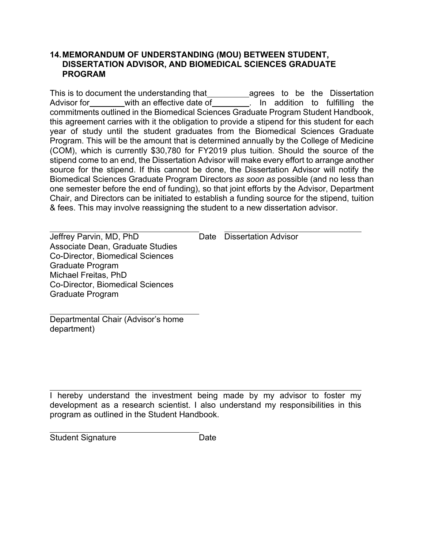#### **14.MEMORANDUM OF UNDERSTANDING (MOU) BETWEEN STUDENT, DISSERTATION ADVISOR, AND BIOMEDICAL SCIENCES GRADUATE PROGRAM**

This is to document the understanding that\_\_\_\_\_\_\_\_\_\_\_agrees to be the Dissertation Advisor for commitments outlined in the Biomedical Sciences Graduate Program Student Handbook, this agreement carries with it the obligation to provide a stipend for this student for each year of study until the student graduates from the Biomedical Sciences Graduate Program. This will be the amount that is determined annually by the College of Medicine (COM), which is currently \$30,780 for FY2019 plus tuition. Should the source of the stipend come to an end, the Dissertation Advisor will make every effort to arrange another source for the stipend. If this cannot be done, the Dissertation Advisor will notify the Biomedical Sciences Graduate Program Directors *as soon as* possible (and no less than one semester before the end of funding), so that joint efforts by the Advisor, Department Chair, and Directors can be initiated to establish a funding source for the stipend, tuition & fees. This may involve reassigning the student to a new dissertation advisor. with an effective date of  $\overline{\hspace{1cm}}$ . In addition to fulfilling the

Jeffrey Parvin, MD, PhD Date Dissertation Advisor Associate Dean, Graduate Studies Co-Director, Biomedical Sciences Graduate Program Michael Freitas, PhD Co-Director, Biomedical Sciences Graduate Program

Date Dissertation Advisor

Departmental Chair (Advisor's home department)

 I hereby understand the investment being made by my advisor to foster my development as a research scientist. I also understand my responsibilities in this program as outlined in the Student Handbook.

Student Signature **Date**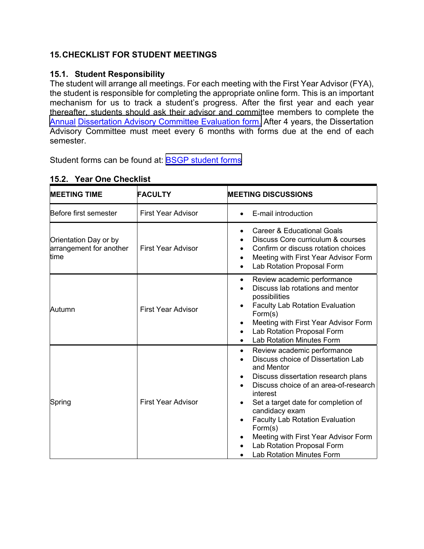# **15.CHECKLIST FOR STUDENT MEETINGS**

# **15.1. Student Responsibility**

 The student will arrange all meetings. For each meeting with the First Year Advisor (FYA), the student is responsible for completing the appropriate online form. This is an important mechanism for us to track a student's progress. After the first year and each year thereafter, students should ask their advisor and committee members to complete the [Annual Dissertation Advisory Committee Evaluation form.](https://osu.az1.qualtrics.com/jfe/form/SV_37TM2a2IvWBRfxj) After 4 years, the Dissertation Advisory Committee must meet every 6 months with forms due at the end of each semester.

Student forms can be found at: <u>BSGP student forms</u>

| <b>IMEETING TIME</b>                                     | <b>FACULTY</b>            | <b>IMEETING DISCUSSIONS</b>                                                                                                                                                                                                                                                                                                                                                                                           |
|----------------------------------------------------------|---------------------------|-----------------------------------------------------------------------------------------------------------------------------------------------------------------------------------------------------------------------------------------------------------------------------------------------------------------------------------------------------------------------------------------------------------------------|
| Before first semester                                    | <b>First Year Advisor</b> | E-mail introduction                                                                                                                                                                                                                                                                                                                                                                                                   |
| Orientation Day or by<br>arrangement for another<br>time | <b>First Year Advisor</b> | <b>Career &amp; Educational Goals</b><br>$\bullet$<br>Discuss Core curriculum & courses<br>Confirm or discuss rotation choices<br>Meeting with First Year Advisor Form<br>Lab Rotation Proposal Form<br>$\bullet$                                                                                                                                                                                                     |
| Autumn                                                   | <b>First Year Advisor</b> | Review academic performance<br>$\bullet$<br>Discuss lab rotations and mentor<br>possibilities<br><b>Faculty Lab Rotation Evaluation</b><br>Form(s)<br>Meeting with First Year Advisor Form<br>$\bullet$<br>Lab Rotation Proposal Form<br>$\bullet$<br><b>Lab Rotation Minutes Form</b>                                                                                                                                |
| <b>First Year Advisor</b><br>Spring                      |                           | Review academic performance<br>$\bullet$<br>Discuss choice of Dissertation Lab<br>and Mentor<br>Discuss dissertation research plans<br>٠<br>Discuss choice of an area-of-research<br>interest<br>Set a target date for completion of<br>candidacy exam<br><b>Faculty Lab Rotation Evaluation</b><br>Form(s)<br>Meeting with First Year Advisor Form<br>Lab Rotation Proposal Form<br><b>Lab Rotation Minutes Form</b> |

# **15.2. Year One Checklist**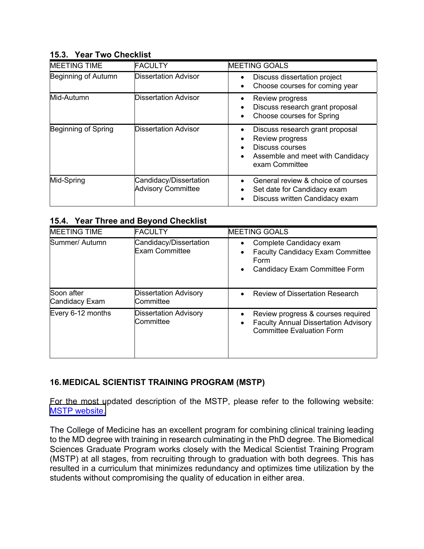# **15.3. Year Two Checklist**

| <b>MEETING TIME</b> | <b>FACULTY</b>                                      | <b>MEETING GOALS</b>                                                                                                                     |
|---------------------|-----------------------------------------------------|------------------------------------------------------------------------------------------------------------------------------------------|
| Beginning of Autumn | <b>Dissertation Advisor</b>                         | Discuss dissertation project<br>Choose courses for coming year                                                                           |
| Mid-Autumn          | Dissertation Advisor                                | Review progress<br>Discuss research grant proposal<br><b>Choose courses for Spring</b>                                                   |
| Beginning of Spring | Dissertation Advisor                                | Discuss research grant proposal<br>Review progress<br>Discuss courses<br>Assemble and meet with Candidacy<br>$\bullet$<br>exam Committee |
| Mid-Spring          | Candidacy/Dissertation<br><b>Advisory Committee</b> | General review & choice of courses<br>Set date for Candidacy exam<br>Discuss written Candidacy exam                                      |

# **15.4. Year Three and Beyond Checklist**

| <b>MEETING TIME</b>          | <b>FACULTY</b>                                  | <b>MEETING GOALS</b>                                                                                                  |
|------------------------------|-------------------------------------------------|-----------------------------------------------------------------------------------------------------------------------|
| Summer/ Autumn               | Candidacy/Dissertation<br><b>Exam Committee</b> | Complete Candidacy exam<br><b>Faculty Candidacy Exam Committee</b><br>Form<br>Candidacy Exam Committee Form           |
| Soon after<br>Candidacy Exam | <b>Dissertation Advisory</b><br>Committee       | <b>Review of Dissertation Research</b>                                                                                |
| Every 6-12 months            | <b>Dissertation Advisory</b><br>Committee       | Review progress & courses required<br><b>Faculty Annual Dissertation Advisory</b><br><b>Committee Evaluation Form</b> |

# **16.MEDICAL SCIENTIST TRAINING PROGRAM (MSTP)**

 For the most updated description of the MSTP, please refer to the following website: [MSTP website.](https://medicine.osu.edu/education/dual-degree/mstp)

 The College of Medicine has an excellent program for combining clinical training leading to the MD degree with training in research culminating in the PhD degree. The Biomedical Sciences Graduate Program works closely with the Medical Scientist Training Program (MSTP) at all stages, from recruiting through to graduation with both degrees. This has resulted in a curriculum that minimizes redundancy and optimizes time utilization by the students without compromising the quality of education in either area.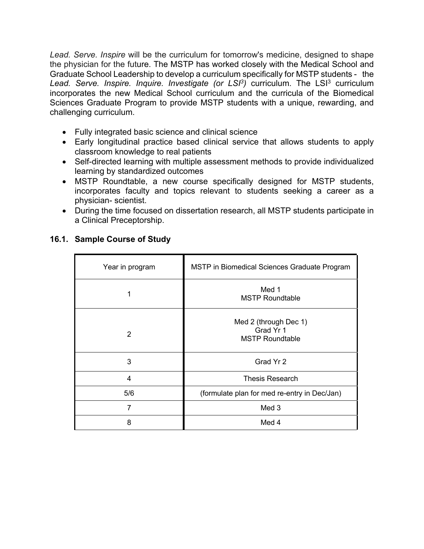Lead. Serve. Inspire will be the curriculum for tomorrow's medicine, designed to shape the physician for the future. The MSTP has worked closely with the Medical School and Graduate School Leadership to develop a curriculum specifically for MSTP students - the Lead. Serve. Inspire. Inquire. Investigate (or LSI<sup>3</sup>) curriculum. The LSI<sup>3</sup> curriculum incorporates the new Medical School curriculum and the curricula of the Biomedical Sciences Graduate Program to provide MSTP students with a unique, rewarding, and challenging curriculum.

- Fully integrated basic science and clinical science
- • Early longitudinal practice based clinical service that allows students to apply classroom knowledge to real patients
- • Self-directed learning with multiple assessment methods to provide individualized learning by standardized outcomes
- • MSTP Roundtable, a new course specifically designed for MSTP students, incorporates faculty and topics relevant to students seeking a career as a physician- scientist.
- • During the time focused on dissertation research, all MSTP students participate in a Clinical Preceptorship.

| Year in program | MSTP in Biomedical Sciences Graduate Program                 |
|-----------------|--------------------------------------------------------------|
| 1               | Med 1<br><b>MSTP Roundtable</b>                              |
| 2               | Med 2 (through Dec 1)<br>Grad Yr 1<br><b>MSTP Roundtable</b> |
| 3               | Grad Yr 2                                                    |
| 4               | <b>Thesis Research</b>                                       |
| 5/6             | (formulate plan for med re-entry in Dec/Jan)                 |
| 7               | Med 3                                                        |
| 8               | Med 4                                                        |

# **16.1. Sample Course of Study**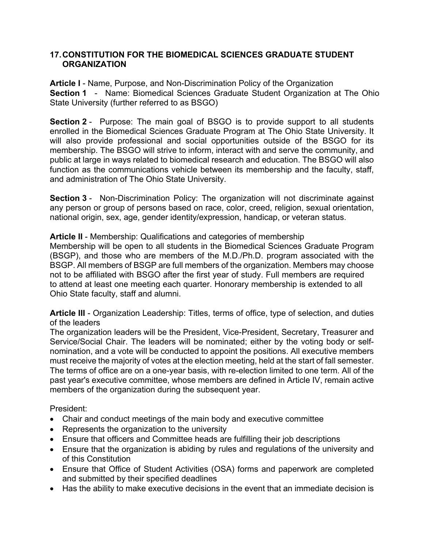# **17.CONSTITUTION FOR THE BIOMEDICAL SCIENCES GRADUATE STUDENT ORGANIZATION**

 **Article I** - Name, Purpose, and Non-Discrimination Policy of the Organization  **Section 1** - Name: Biomedical Sciences Graduate Student Organization at The Ohio State University (further referred to as BSGO)

**Section 2** - Purpose: The main goal of BSGO is to provide support to all students enrolled in the Biomedical Sciences Graduate Program at The Ohio State University. It will also provide professional and social opportunities outside of the BSGO for its membership. The BSGO will strive to inform, interact with and serve the community, and public at large in ways related to biomedical research and education. The BSGO will also function as the communications vehicle between its membership and the faculty, staff, and administration of The Ohio State University.

 **Section 3** - Non-Discrimination Policy: The organization will not discriminate against any person or group of persons based on race, color, creed, religion, sexual orientation, national origin, sex, age, gender identity/expression, handicap, or veteran status.

# **Article II** - Membership: Qualifications and categories of membership

 Membership will be open to all students in the Biomedical Sciences Graduate Program (BSGP), and those who are members of the M.D./Ph.D. program associated with the BSGP. All members of BSGP are full members of the organization. Members may choose not to be affiliated with BSGO after the first year of study. Full members are required to attend at least one meeting each quarter. Honorary membership is extended to all Ohio State faculty, staff and alumni.

 **Article III** - Organization Leadership: Titles, terms of office, type of selection, and duties of the leaders

 The organization leaders will be the President, Vice-President, Secretary, Treasurer and Service/Social Chair. The leaders will be nominated; either by the voting body or self- nomination, and a vote will be conducted to appoint the positions. All executive members must receive the majority of votes at the election meeting, held at the start of fall semester. The terms of office are on a one-year basis, with re-election limited to one term. All of the past year's executive committee, whose members are defined in Article IV, remain active members of the organization during the subsequent year.

# President:

- Chair and conduct meetings of the main body and executive committee
- Represents the organization to the university
- Ensure that officers and Committee heads are fulfilling their job descriptions
- • Ensure that the organization is abiding by rules and regulations of the university and of this Constitution
- • Ensure that Office of Student Activities (OSA) forms and paperwork are completed and submitted by their specified deadlines
- Has the ability to make executive decisions in the event that an immediate decision is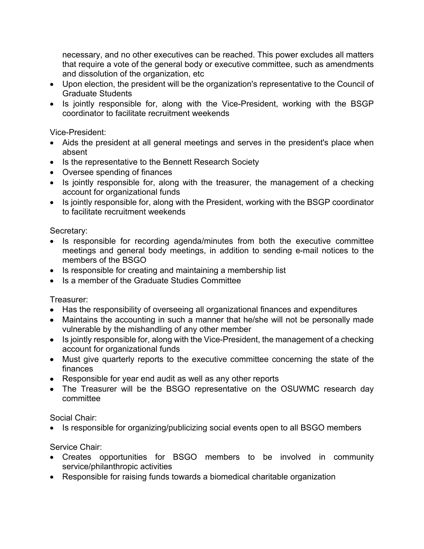necessary, and no other executives can be reached. This power excludes all matters that require a vote of the general body or executive committee, such as amendments and dissolution of the organization, etc

- • Upon election, the president will be the organization's representative to the Council of Graduate Students
- • Is jointly responsible for, along with the Vice-President, working with the BSGP coordinator to facilitate recruitment weekends

Vice-President:

- • Aids the president at all general meetings and serves in the president's place when absent
- Is the representative to the Bennett Research Society
- Oversee spending of finances
- • Is jointly responsible for, along with the treasurer, the management of a checking account for organizational funds
- • Is jointly responsible for, along with the President, working with the BSGP coordinator to facilitate recruitment weekends

Secretary:

- • Is responsible for recording agenda/minutes from both the executive committee meetings and general body meetings, in addition to sending e-mail notices to the members of the BSGO
- Is responsible for creating and maintaining a membership list
- Is a member of the Graduate Studies Committee

Treasurer:

- Has the responsibility of overseeing all organizational finances and expenditures
- • Maintains the accounting in such a manner that he/she will not be personally made vulnerable by the mishandling of any other member
- • Is jointly responsible for, along with the Vice-President, the management of a checking account for organizational funds
- • Must give quarterly reports to the executive committee concerning the state of the finances
- Responsible for year end audit as well as any other reports
- • The Treasurer will be the BSGO representative on the OSUWMC research day committee

Social Chair:

• Is responsible for organizing/publicizing social events open to all BSGO members

Service Chair:

- • Creates opportunities for BSGO members to be involved in community service/philanthropic activities
- Responsible for raising funds towards a biomedical charitable organization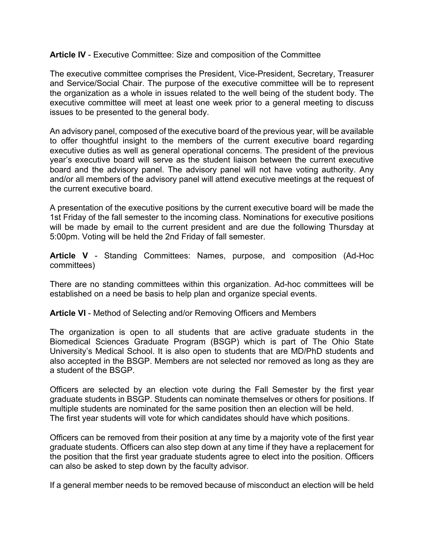# **Article IV** - Executive Committee: Size and composition of the Committee

 The executive committee comprises the President, Vice-President, Secretary, Treasurer and Service/Social Chair. The purpose of the executive committee will be to represent the organization as a whole in issues related to the well being of the student body. The executive committee will meet at least one week prior to a general meeting to discuss issues to be presented to the general body.

 An advisory panel, composed of the executive board of the previous year, will be available to offer thoughtful insight to the members of the current executive board regarding executive duties as well as general operational concerns. The president of the previous year's executive board will serve as the student liaison between the current executive board and the advisory panel. The advisory panel will not have voting authority. Any and/or all members of the advisory panel will attend executive meetings at the request of the current executive board.

 A presentation of the executive positions by the current executive board will be made the 1st Friday of the fall semester to the incoming class. Nominations for executive positions will be made by email to the current president and are due the following Thursday at 5:00pm. Voting will be held the 2nd Friday of fall semester.

 **Article V** - Standing Committees: Names, purpose, and composition (Ad-Hoc committees)

 There are no standing committees within this organization. Ad-hoc committees will be established on a need be basis to help plan and organize special events.

 **Article VI** - Method of Selecting and/or Removing Officers and Members

 The organization is open to all students that are active graduate students in the Biomedical Sciences Graduate Program (BSGP) which is part of The Ohio State University's Medical School. It is also open to students that are MD/PhD students and also accepted in the BSGP. Members are not selected nor removed as long as they are a student of the BSGP.

 Officers are selected by an election vote during the Fall Semester by the first year graduate students in BSGP. Students can nominate themselves or others for positions. If multiple students are nominated for the same position then an election will be held. The first year students will vote for which candidates should have which positions.

 Officers can be removed from their position at any time by a majority vote of the first year graduate students. Officers can also step down at any time if they have a replacement for the position that the first year graduate students agree to elect into the position. Officers can also be asked to step down by the faculty advisor.

If a general member needs to be removed because of misconduct an election will be held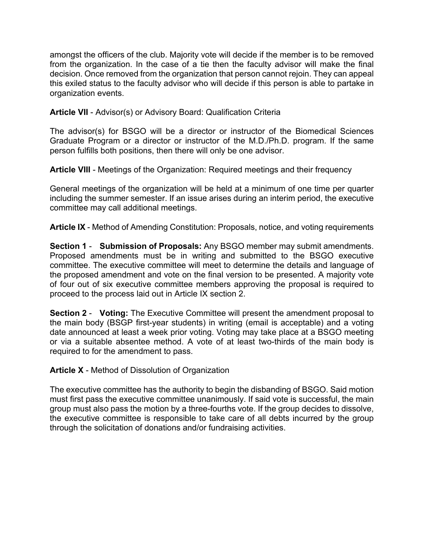amongst the officers of the club. Majority vote will decide if the member is to be removed from the organization. In the case of a tie then the faculty advisor will make the final decision. Once removed from the organization that person cannot rejoin. They can appeal this exiled status to the faculty advisor who will decide if this person is able to partake in organization events.

# **Article VII** - Advisor(s) or Advisory Board: Qualification Criteria

 The advisor(s) for BSGO will be a director or instructor of the Biomedical Sciences Graduate Program or a director or instructor of the M.D./Ph.D. program. If the same person fulfills both positions, then there will only be one advisor.

**Article VIII** - Meetings of the Organization: Required meetings and their frequency

 General meetings of the organization will be held at a minimum of one time per quarter including the summer semester. If an issue arises during an interim period, the executive committee may call additional meetings.

**Article IX** - Method of Amending Constitution: Proposals, notice, and voting requirements

 **Section 1** - **Submission of Proposals:** Any BSGO member may submit amendments. Proposed amendments must be in writing and submitted to the BSGO executive committee. The executive committee will meet to determine the details and language of the proposed amendment and vote on the final version to be presented. A majority vote of four out of six executive committee members approving the proposal is required to proceed to the process laid out in Article IX section 2.

 **Section 2** - **Voting:** The Executive Committee will present the amendment proposal to the main body (BSGP first-year students) in writing (email is acceptable) and a voting date announced at least a week prior voting. Voting may take place at a BSGO meeting or via a suitable absentee method. A vote of at least two-thirds of the main body is required to for the amendment to pass.

**Article X** - Method of Dissolution of Organization

 The executive committee has the authority to begin the disbanding of BSGO. Said motion must first pass the executive committee unanimously. If said vote is successful, the main group must also pass the motion by a three-fourths vote. If the group decides to dissolve, the executive committee is responsible to take care of all debts incurred by the group through the solicitation of donations and/or fundraising activities.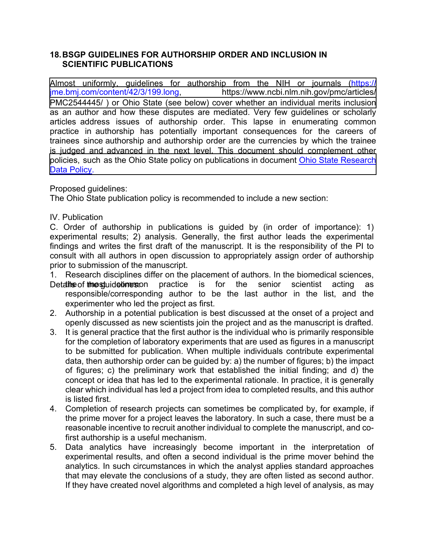#### **18.BSGP GUIDELINES FOR AUTHORSHIP ORDER AND INCLUSION IN SCIENTIFIC PUBLICATIONS**

[Almost uniformly, guidelines for authorship from the NIH or journals \(https://](https://jme.bmj.com/content/42/3/199.long) jme.bmj.com/content/42/3/199.long PMC2544445/ ) or Ohio State (see below) cover whether an individual merits inclusion as an author and how these disputes are mediated. Very few guidelines or scholarly articles address issues of authorship order. This lapse in enumerating common practice in authorship has potentially important consequences for the careers of trainees since authorship and authorship order are the currencies by which the trainee is judged and advanced in the next level. This document should complement other Data Policy. https://www.ncbi.nlm.nih.gov/pmc/articles/ [policies, such as the Ohio State policy on publications in document Ohio State Research](http://orc.osu.edu/files/ResearchDataPolicy.pdf)

Proposed guidelines:

The Ohio State publication policy is recommended to include a new section:

IV. Publication

 C. Order of authorship in publications is guided by (in order of importance): 1) experimental results; 2) analysis. Generally, the first author leads the experimental findings and writes the first draft of the manuscript. It is the responsibility of the PI to prior to submission of the manuscript. consult with all authors in open discussion to appropriately assign order of authorship

1. Research disciplines differ on the placement of authors. In the biomedical sciences,

- Deta**the** of **the st**uide**bnes**: on practice is for the senior scientist acting as responsible/corresponding author to be the last author in the list, and the experimenter who led the project as first.
- 2. Authorship in a potential publication is best discussed at the onset of a project and openly discussed as new scientists join the project and as the manuscript is drafted.
- $3.$  for the completion of laboratory experiments that are used as figures in a manuscript to be submitted for publication. When multiple individuals contribute experimental data, then authorship order can be guided by: a) the number of figures; b) the impact of figures; c) the preliminary work that established the initial finding; and d) the concept or idea that has led to the experimental rationale. In practice, it is generally clear which individual has led a project from idea to completed results, and this author is listed first. It is general practice that the first author is the individual who is primarily responsible
- 4. Completion of research projects can sometimes be complicated by, for example, if the prime mover for a project leaves the laboratory. In such a case, there must be a reasonable incentive to recruit another individual to complete the manuscript, and co-first authorship is a useful mechanism.
- $5<sub>1</sub>$  experimental results, and often a second individual is the prime mover behind the analytics. In such circumstances in which the analyst applies standard approaches that may elevate the conclusions of a study, they are often listed as second author. If they have created novel algorithms and completed a high level of analysis, as mayData analytics have increasingly become important in the interpretation of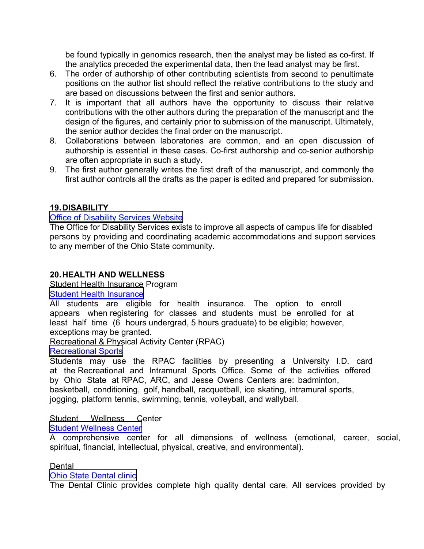be found typically in genomics research, then the analyst may be listed as co-first. If the analytics preceded the experimental data, then the lead analyst may be first.

- 6. The order of authorship of other contributing scientists from second to penultimate positions on the author list should reflect the relative contributions to the study and are based on discussions between the first and senior authors.
- 7. It is important that all authors have the opportunity to discuss their relative contributions with the other authors during the preparation of the manuscript and the design of the figures, and certainly prior to submission of the manuscript. Ultimately, the senior author decides the final order on the manuscript.
- 8. Collaborations between laboratories are common, and an open discussion of authorship is essential in these cases. Co-first authorship and co-senior authorship are often appropriate in such a study.
- 9. The first author generally writes the first draft of the manuscript, and commonly the first author controls all the drafts as the paper is edited and prepared for submission.

# **19.DISABILITY**

#### **[Office of Disability Services Website](http://ods.osu.edu/)**

 The Office for Disability Services exists to improve all aspects of campus life for disabled persons by providing and coordinating academic accommodations and support services to any member of the Ohio State community.

# **20.HEALTH AND WELLNESS**

# Student Health Insurance Program

#### **[Student Health Insurance](http://www.shi.osu.edu/)**

 All students are eligible for health insurance. The option to enroll appears when registering for classes and students must be enrolled for at least half time (6 hours undergrad, 5 hours graduate) to be eligible; however, exceptions may be granted.

Recreational & Physical Activity Center (RPAC)

# [Recreational Sports](http://recsports.osu.edu/)

 Students may use the RPAC facilities by presenting a University I.D. card at the Recreational and Intramural Sports Office. Some of the activities offered by Ohio State at RPAC, ARC, and Jesse Owens Centers are: badminton, basketball, conditioning, golf, handball, racquetball, ice skating, intramural sports, jogging, platform tennis, swimming, tennis, volleyball, and wallyball.

#### Student Wellness Center [Student Wellness Center](http://swc.osu.edu/)

 A comprehensive center for all dimensions of wellness (emotional, career, social, spiritual, financial, intellectual, physical, creative, and environmental).

#### **Dental**

# [Ohio State Dental clinic](http://dentistry.osu.edu/patients/ohio-state-dental-clinics)

The Dental Clinic provides complete high quality dental care. All services provided by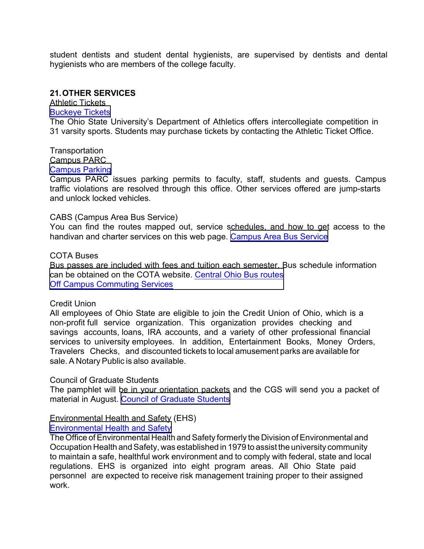student dentists and student dental hygienists, are supervised by dentists and dental hygienists who are members of the college faculty.

# **21.OTHER SERVICES**

 [Buckeye Tickets](http://www.ohiostatebuckeyes.com/) Athletic Tickets

 The Ohio State University's Department of Athletics offers intercollegiate competition in 31 varsity sports. Students may purchase tickets by contacting the Athletic Ticket Office.

Transportation Campus PARC

# [Campus Parking](http://www.campusparc.com/)

 Campus PARC issues parking permits to faculty, staff, students and guests. Campus traffic violations are resolved through this office. Other services offered are jump-starts and unlock locked vehicles.

#### CABS (Campus Area Bus Service)

 You can find the routes mapped out, service schedules, and how to get access to the handivan and charter services on this web page. <u>[Campus Area Bus Service](https://ttm.osu.edu/cabs)</u>

#### COTA Buses

 Bus passes are included with fees and tuition each semester. Bus schedule information can be obtained on the COTA website. <u>Central Ohio Bus routes</u> **Off Campus Commuting Services** 

#### Credit Union

 All employees of Ohio State are eligible to join the Credit Union of Ohio, which is a non-profit full service organization. This organization provides checking and savings accounts, loans, IRA accounts, and a variety of other professional financial services to university employees. In addition, Entertainment Books, Money Orders, Travelers Checks, and discounted tickets to local amusement parks are available for sale. A Notary Public is also available.

#### Council of Graduate Students

 The pamphlet will be in your orientation packets and the CGS will send you a packet of material in August. <u>[Council of Graduate Students](https://cgs.osu.edu/)</u>

### Environmental Health and Safety (EHS)

### [Environmental Health and Safety](http://ehs.osu.edu/)

 The Office of Environmental Health and Safety formerly the Division of Environmental and Occupation Health and Safety, was established in 1979 to assist the university community to maintain a safe, healthful work environment and to comply with federal, state and local regulations. EHS is organized into eight program areas. All Ohio State paid personnel are expected to receive risk management training proper to their assigned work.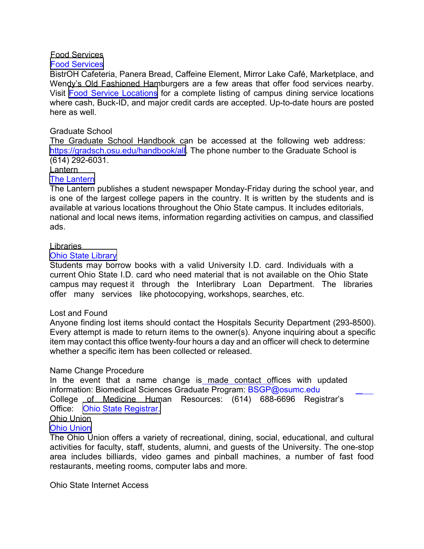### Food Services

#### [Food Services](https://dining.osu.edu/)

 BistrOH Cafeteria, Panera Bread, Caffeine Element, Mirror Lake Café, Marketplace, and Wendy's Old Fashioned Hamburgers are a few areas that offer food services nearby. Visit [Food Service Locations](https://dining.osu.edu/locations/) for a complete listing of campus dining service locations where cash, Buck-ID, and major credit cards are accepted. Up-to-date hours are posted here as well.

## Graduate School

 The Graduate School Handbook can be accessed at the following web address: <https://gradsch.osu.edu/handbook/all>. The phone number to the Graduate School is (614) 292-6031.

#### Lantern

#### [The Lantern](http://www.thelantern.com/)

 The Lantern publishes a student newspaper Monday-Friday during the school year, and is one of the largest college papers in the country. It is written by the students and is available at various locations throughout the Ohio State campus. It includes editorials, national and local news items, information regarding activities on campus, and classified ads.

#### Libraries

#### [Ohio State Library](http://library.osu.edu/)

 Students may borrow books with a valid University I.D. card. Individuals with a current Ohio State I.D. card who need material that is not available on the Ohio State campus may request it through the Interlibrary Loan Department. The libraries offer many services like photocopying, workshops, searches, etc.

#### Lost and Found

 Anyone finding lost items should contact the Hospitals Security Department (293-8500). Every attempt is made to return items to the owner(s). Anyone inquiring about a specific item may contact this office twenty-four hours a day and an officer will check to determine whether a specific item has been collected or released.

# Name Change Procedure

In the event that a name change is made contact offices with updated information: Biomedical Sciences Graduate Program: [BSGP@osumc.edu](mailto:BSGP@osumc.edu) College of Medicine Human Resources: (614) 688-6696 Registrar's Office: [Ohio State Registrar.](https://registrar.osu.edu/students/)  Ohio Union

# [Ohio Union](https://ohiounion.osu.edu/)

 The Ohio Union offers a variety of recreational, dining, social, educational, and cultural activities for faculty, staff, students, alumni, and guests of the University. The one-stop area includes billiards, video games and pinball machines, a number of fast food restaurants, meeting rooms, computer labs and more.

Ohio State Internet Access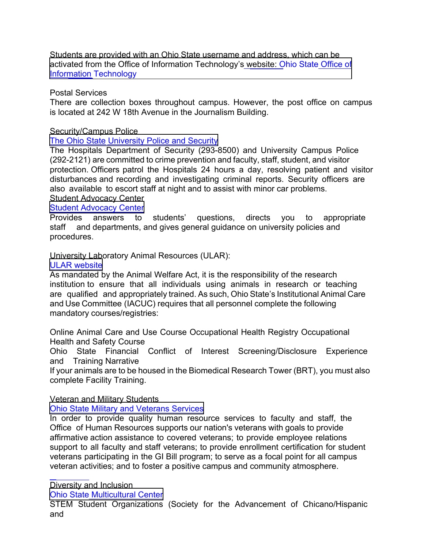Students are provided with an Ohio State username and address, which can be activated from the Office of Information Technology's<u> website: Ohio State Office of</u> Information Technology

# Postal Services

 There are collection boxes throughout campus. However, the post office on campus is located at 242 W 18th Avenue in the Journalism Building.

### Security/Campus Police

# [The Ohio State University Police and Security](https://dps.osu.edu/police/)

 The Hospitals Department of Security (293-8500) and University Campus Police (292-2121) are committed to crime prevention and faculty, staff, student, and visitor protection. Officers patrol the Hospitals 24 hours a day, resolving patient and visitor disturbances and recording and investigating criminal reports. Security officers are also available to escort staff at night and to assist with minor car problems. Student Advocacy Center

# **[Student Advocacy Center](http://advocacy.osu.edu/)**<br>Provides answers to

to staff and departments, and gives general guidance on university policies and answers to students' questions, directs you to appropriate procedures.

### University Laboratory Animal Resources (ULAR):

#### [ULAR website](http://ular.osu.edu/training/required-training/)

 As mandated by the Animal Welfare Act, it is the responsibility of the research institution to ensure that all individuals using animals in research or teaching are qualified and appropriately trained. As such, Ohio State's Institutional Animal Care mandatory courses/registries: and Use Committee (IACUC) requires that all personnel complete the following

 Online Animal Care and Use Course Occupational Health Registry Occupational Health and Safety Course

 Ohio State Financial Conflict of Interest Screening/Disclosure Experience and Training Narrative

 complete Facility Training. If your animals are to be housed in the Biomedical Research Tower (BRT), you must also

# Veteran and Military Students

[Ohio State Military and Veterans Services](http://veterans.osu.edu/)

 In order to provide quality human resource services to faculty and staff, the Office of Human Resources supports our nation's veterans with goals to provide affirmative action assistance to covered veterans; to provide employee relations veteran activities; and to foster a positive campus and community atmosphere. support to all faculty and staff veterans; to provide enrollment certification for student veterans participating in the GI Bill program; to serve as a focal point for all campus

Diversity and Inclusion

[Ohio State Multicultural Center](https://mcc.osu.edu/)

STEM Student Organizations (Society for the Advancement of Chicano/Hispanic and